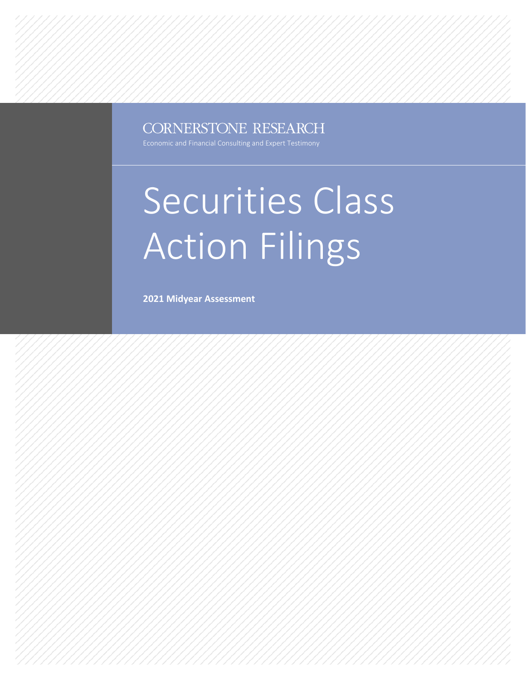### CORNERSTONE RESEARCH

# Securities Class Action Filings

**2021 Midyear Assessment**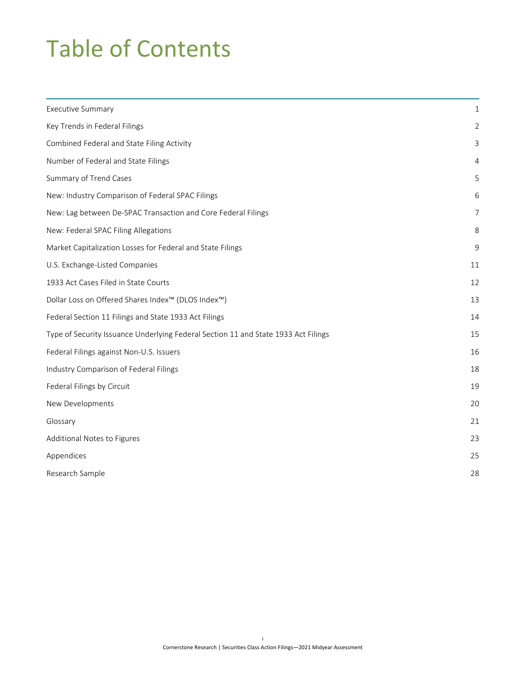## Table of Contents

| <b>Executive Summary</b>                                                           | 1  |
|------------------------------------------------------------------------------------|----|
| Key Trends in Federal Filings                                                      |    |
| Combined Federal and State Filing Activity                                         | 3  |
| Number of Federal and State Filings                                                | 4  |
| Summary of Trend Cases                                                             | 5  |
| New: Industry Comparison of Federal SPAC Filings                                   | 6  |
| New: Lag between De-SPAC Transaction and Core Federal Filings                      | 7  |
| New: Federal SPAC Filing Allegations                                               | 8  |
| Market Capitalization Losses for Federal and State Filings                         | 9  |
| U.S. Exchange-Listed Companies                                                     | 11 |
| 1933 Act Cases Filed in State Courts                                               | 12 |
| Dollar Loss on Offered Shares Index™ (DLOS Index™)                                 | 13 |
| Federal Section 11 Filings and State 1933 Act Filings                              | 14 |
| Type of Security Issuance Underlying Federal Section 11 and State 1933 Act Filings | 15 |
| Federal Filings against Non-U.S. Issuers                                           | 16 |
| Industry Comparison of Federal Filings                                             | 18 |
| Federal Filings by Circuit                                                         | 19 |
| New Developments                                                                   | 20 |
| Glossary                                                                           | 21 |
| Additional Notes to Figures                                                        | 23 |
| Appendices                                                                         | 25 |
| Research Sample                                                                    | 28 |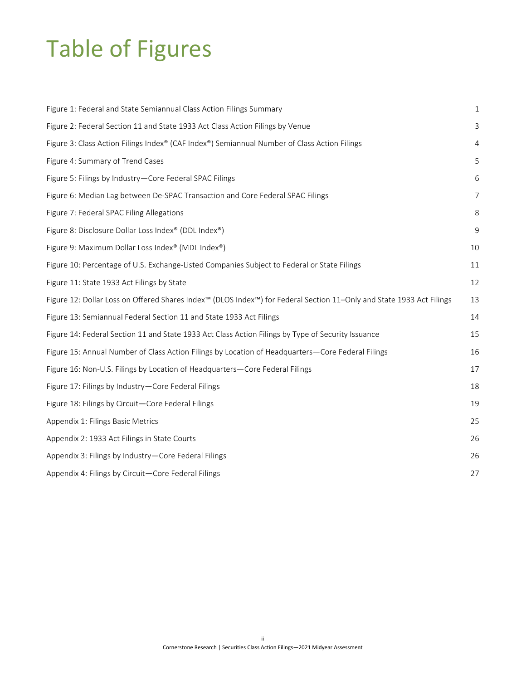## Table of Figures

| Figure 1: Federal and State Semiannual Class Action Filings Summary                                                  | $\mathbf{1}$          |
|----------------------------------------------------------------------------------------------------------------------|-----------------------|
| Figure 2: Federal Section 11 and State 1933 Act Class Action Filings by Venue                                        |                       |
| Figure 3: Class Action Filings Index® (CAF Index®) Semiannual Number of Class Action Filings                         | 4                     |
| Figure 4: Summary of Trend Cases                                                                                     |                       |
| Figure 5: Filings by Industry-Core Federal SPAC Filings                                                              |                       |
| Figure 6: Median Lag between De-SPAC Transaction and Core Federal SPAC Filings                                       |                       |
| Figure 7: Federal SPAC Filing Allegations                                                                            | $\mathsf{\mathsf{R}}$ |
| Figure 8: Disclosure Dollar Loss Index® (DDL Index®)                                                                 | 9                     |
| Figure 9: Maximum Dollar Loss Index® (MDL Index®)                                                                    | 10                    |
| Figure 10: Percentage of U.S. Exchange-Listed Companies Subject to Federal or State Filings                          | 11                    |
| Figure 11: State 1933 Act Filings by State                                                                           | 12                    |
| Figure 12: Dollar Loss on Offered Shares Index™ (DLOS Index™) for Federal Section 11-Only and State 1933 Act Filings | 13                    |
| Figure 13: Semiannual Federal Section 11 and State 1933 Act Filings                                                  | 14                    |
| Figure 14: Federal Section 11 and State 1933 Act Class Action Filings by Type of Security Issuance                   | 15                    |
| Figure 15: Annual Number of Class Action Filings by Location of Headquarters-Core Federal Filings                    | 16                    |
| Figure 16: Non-U.S. Filings by Location of Headquarters-Core Federal Filings                                         | 17                    |
| Figure 17: Filings by Industry-Core Federal Filings                                                                  | 18                    |
| Figure 18: Filings by Circuit-Core Federal Filings                                                                   | 19                    |
| Appendix 1: Filings Basic Metrics                                                                                    | 25                    |
| Appendix 2: 1933 Act Filings in State Courts                                                                         | 26                    |
| Appendix 3: Filings by Industry – Core Federal Filings                                                               | 26                    |
| Appendix 4: Filings by Circuit-Core Federal Filings                                                                  | 27                    |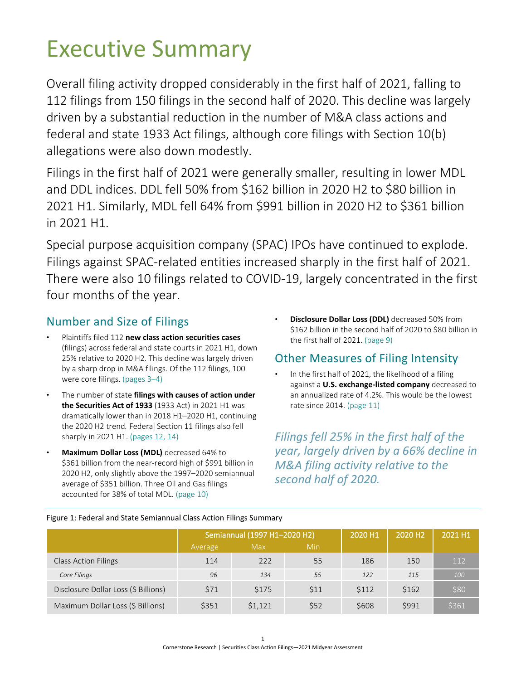## <span id="page-3-0"></span>Executive Summary

Overall filing activity dropped considerably in the first half of 2021, falling to 112 filings from 150 filings in the second half of 2020. This decline was largely driven by a substantial reduction in the number of M&A class actions and federal and state 1933 Act filings, although core filings with Section 10(b) allegations were also down modestly.

Filings in the first half of 2021 were generally smaller, resulting in lower MDL and DDL indices. DDL fell 50% from \$162 billion in 2020 H2 to \$80 billion in 2021 H1. Similarly, MDL fell 64% from \$991 billion in 2020 H2 to \$361 billion in 2021 H1.

Special purpose acquisition company (SPAC) IPOs have continued to explode. Filings against SPAC-related entities increased sharply in the first half of 2021. There were also 10 filings related to COVID-19, largely concentrated in the first four months of the year.

### Number and Size of Filings

- Plaintiffs filed 112 **new class action securities cases** (filings) across federal and state courts in 2021 H1, down 25% relative to 2020 H2. This decline was largely driven by a sharp drop in M&A filings. Of the 112 filings, 100 were core filings. (pages [3–](#page-5-0)[4\)](#page-6-2)
- The number of state **filings with causes of action under the Securities Act of 1933** (1933 Act) in 2021 H1 was dramatically lower than in 2018 H1–2020 H1, continuing the 2020 H2 trend*.* Federal Section 11 filings also fell sharply in 2021 H1. (pages [12,](#page-14-0) [14\)](#page-16-0)
- **Maximum Dollar Loss (MDL)** decreased 64% to \$361 billion from the near-record high of \$991 billion in 2020 H2, only slightly above the 1997–2020 semiannual average of \$351 billion. Three Oil and Gas filings accounted for 38% of total MDL. (page [10\)](#page-12-1)

• **Disclosure Dollar Loss (DDL)** decreased 50% from \$162 billion in the second half of 2020 to \$80 billion in the first half of 2021. (page [9\)](#page-11-0)

### Other Measures of Filing Intensity

In the first half of 2021, the likelihood of a filing against a **U.S. exchange-listed company** decreased to an annualized rate of 4.2%. This would be the lowest rate since 2014. (page [11\)](#page-13-0)

*Filings fell 25% in the first half of the year, largely driven by a 66% decline in M&A filing activity relative to the second half of 2020.* 

|                                      |         | Semiannual (1997 H1-2020 H2) | 2020 H1 | 2020 H <sub>2</sub> | 2021 H1 |       |
|--------------------------------------|---------|------------------------------|---------|---------------------|---------|-------|
|                                      | Average | Max                          | Min     |                     |         |       |
| <b>Class Action Filings</b>          | 114     | 222                          | 55      | 186                 | 150     | 112   |
| Core Filings                         | 96      | 134                          | 55      | 122                 | 115     | 100   |
| Disclosure Dollar Loss (\$ Billions) | \$71    | \$175                        | \$11    | \$112               | \$162   | \$80  |
| Maximum Dollar Loss (\$ Billions)    | \$351   | \$1,121                      | \$52    | \$608               | \$991   | \$361 |

### <span id="page-3-1"></span>Figure 1: Federal and State Semiannual Class Action Filings Summary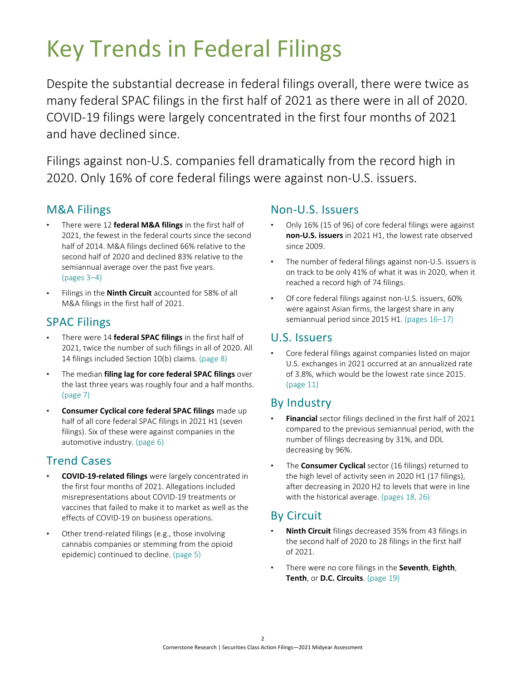## <span id="page-4-0"></span>Key Trends in Federal Filings

Despite the substantial decrease in federal filings overall, there were twice as many federal SPAC filings in the first half of 2021 as there were in all of 2020. COVID-19 filings were largely concentrated in the first four months of 2021 and have declined since.

Filings against non-U.S. companies fell dramatically from the record high in 2020. Only 16% of core federal filings were against non-U.S. issuers.

### M&A Filings

- There were 12 **federal M&A filings** in the first half of 2021, the fewest in the federal courts since the second half of 2014. M&A filings declined 66% relative to the second half of 2020 and declined 83% relative to the semiannual average over the past five years. (pages [3](#page-5-0)[–4\)](#page-6-2)
- Filings in the **Ninth Circuit** accounted for 58% of all M&A filings in the first half of 2021.

### SPAC Filings

- There were 14 **federal SPAC filings** in the first half of 2021, twice the number of such filings in all of 2020. All 14 filings included Section 10(b) claims. (page [8\)](#page-10-2)
- The median **filing lag for core federal SPAC filings** over the last three years was roughly four and a half months. (pag[e 7\)](#page-9-2)
- **Consumer Cyclical core federal SPAC filings** made up half of all core federal SPAC filings in 2021 H1 (seven filings). Six of these were against companies in the automotive industry. (pag[e 6\)](#page-8-2)

### Trend Cases

- **COVID-19-related filings** were largely concentrated in the first four months of 2021. Allegations included misrepresentations about COVID-19 treatments or vaccines that failed to make it to market as well as the effects of COVID-19 on business operations.
- Other trend-related filings (e.g., those involving cannabis companies or stemming from the opioid epidemic) continued to decline. (page [5\)](#page-7-0)

### Non-U.S. Issuers

- Only 16% (15 of 96) of core federal filings were against **non-U.S. issuers** in 2021 H1, the lowest rate observed since 2009.
- The number of federal filings against non-U.S. issuers is on track to be only 41% of what it was in 2020, when it reached a record high of 74 filings.
- Of core federal filings against non-U.S. issuers, 60% were against Asian firms, the largest share in any semiannual period since 2015 H1. (pages [16–](#page-18-0)[17\)](#page-19-1)

### U.S. Issuers

• Core federal filings against companies listed on major U.S. exchanges in 2021 occurred at an annualized rate of 3.8%, which would be the lowest rate since 2015. (page [11\)](#page-13-0)

### By Industry

- **Financial** sector filings declined in the first half of 2021 compared to the previous semiannual period, with the number of filings decreasing by 31%, and DDL decreasing by 96%.
- The **Consumer Cyclical** sector (16 filings) returned to the high level of activity seen in 2020 H1 (17 filings), after decreasing in 2020 H2 to levels that were in line with the historical average. (pages [18,](#page-20-0) [26\)](#page-28-1)

### By Circuit

- **Ninth Circuit** filings decreased 35% from 43 filings in the second half of 2020 to 28 filings in the first half of 2021.
- There were no core filings in the **Seventh**, **Eighth**, **Tenth**, or **D.C. Circuits**. (page [19\)](#page-21-0)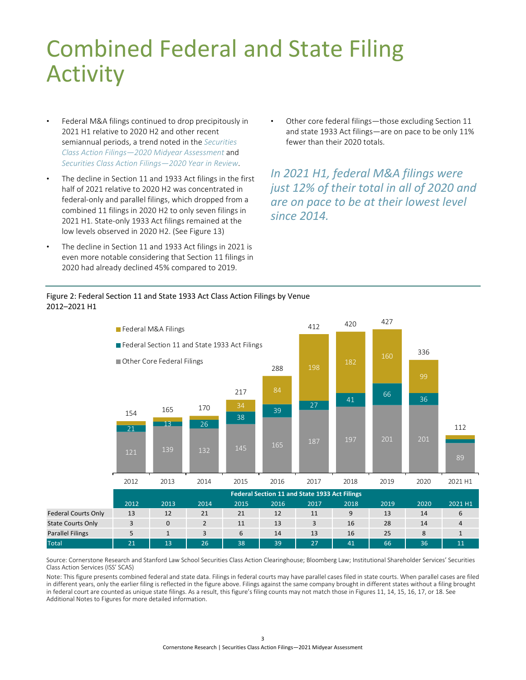## <span id="page-5-2"></span><span id="page-5-0"></span>Combined Federal and State Filing Activity

- Federal M&A filings continued to drop precipitously in 2021 H1 relative to 2020 H2 and other recent semiannual periods, a trend noted in the *[Securities](https://www.cornerstone.com/Publications/Reports/2020-Securities-Class-Action-Filings-2020-Midyear-Assessment)  [Class Action Filings—2020 Midyear Assessment](https://www.cornerstone.com/Publications/Reports/2020-Securities-Class-Action-Filings-2020-Midyear-Assessment)* and *[Securities Class Action Filings—2020 Year in Review](https://www.cornerstone.com/Publications/Reports/Securities-Class-Action-Filings-2020-Year-in-Review.pdf)*.
- The decline in Section 11 and 1933 Act filings in the first half of 2021 relative to 2020 H2 was concentrated in federal-only and parallel filings, which dropped from a combined 11 filings in 2020 H2 to only seven filings in 2021 H1. State-only 1933 Act filings remained at the low levels observed in 2020 H2. [\(See Figure 13\)](#page-16-2)
- The decline in Section 11 and 1933 Act filings in 2021 is even more notable considering that Section 11 filings in 2020 had already declined 45% compared to 2019.

Other core federal filings—those excluding Section 11 and state 1933 Act filings—are on pace to be only 11% fewer than their 2020 totals.

*In 2021 H1, federal M&A filings were just 12% of their total in all of 2020 and are on pace to be at their lowest level since 2014.*

### <span id="page-5-1"></span>Figure 2: Federal Section 11 and State 1933 Act Class Action Filings by Venue 2012–2021 H1



 $\overline{a}$ 

Source: Cornerstone Research and Stanford Law School Securities Class Action Clearinghouse; Bloomberg Law; Institutional Shareholder Services' Securities Class Action Services (ISS' SCAS)

Note: This figure presents combined federal and state data. Filings in federal courts may have parallel cases filed in state courts. When parallel cases are filed in different years, only the earlier filing is reflected in the figure above. Filings against the same company brought in different states without a filing brought in federal court are counted as unique state filings. As a result, this figure's filing counts may not match those in Figures 11, 14, 15, 16, 17, or 18. See Additional Notes to Figures [for more detailed information.](#page-25-1)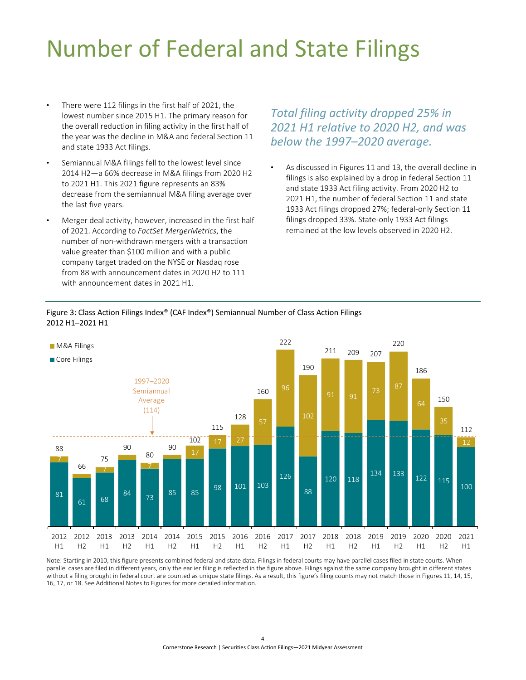## <span id="page-6-2"></span><span id="page-6-0"></span>Number of Federal and State Filings

- There were 112 filings in the first half of 2021, the lowest number since 2015 H1. The primary reason for the overall reduction in filing activity in the first half of the year was the decline in M&A and federal Section 11 and state 1933 Act filings.
- Semiannual M&A filings fell to the lowest level since 2014 H2—a 66% decrease in M&A filings from 2020 H2 to 2021 H1. This 2021 figure represents an 83% decrease from the semiannual M&A filing average over the last five years.
- Merger deal activity, however, increased in the first half of 2021. According to *FactSet MergerMetrics*, the number of non-withdrawn mergers with a transaction value greater than \$100 million and with a public company target traded on the NYSE or Nasdaq rose from 88 with announcement dates in 2020 H2 to 111 with announcement dates in 2021 H1.

### *Total filing activity dropped 25% in 2021 H1 relative to 2020 H2, and was below the 1997–2020 average.*

• As discussed in Figures 11 and 13, the overall decline in filings is also explained by a drop in federal Section 11 and state 1933 Act filing activity. From 2020 H2 to 2021 H1, the number of federal Section 11 and state 1933 Act filings dropped 27%; federal-only Section 11 filings dropped 33%. State-only 1933 Act filings remained at the low levels observed in 2020 H2.

#### <span id="page-6-1"></span>Figure 3: Class Action Filings Index® (CAF Index®) Semiannual Number of Class Action Filings 2012 H1–2021 H1



Note: Starting in 2010, this figure presents combined federal and state data. Filings in federal courts may have parallel cases filed in state courts. When parallel cases are filed in different years, only the earlier filing is reflected in the figure above. Filings against the same company brought in different states without a filing brought in federal court are counted as unique state filings. As a result, this figure's filing counts may not match those in Figures 11, 14, 15, 16, 17, or 18. [See Additional Notes to Figures](#page-25-1) for more detailed information.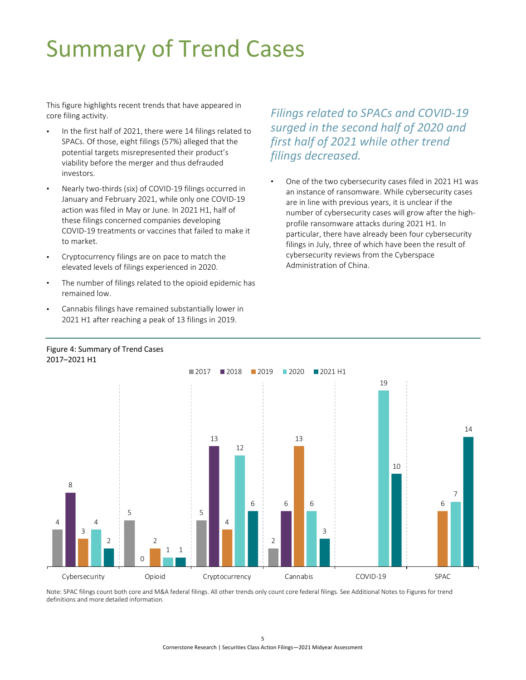## <span id="page-7-2"></span><span id="page-7-0"></span>Summary of Trend Cases

This figure highlights recent trends that have appeared in core filing activity.

- In the first half of 2021, there were 14 filings related to SPACs. Of those, eight filings (57%) alleged that the potential targets misrepresented their product's viability before the merger and thus defrauded investors.
- Nearly two-thirds (six) of COVID-19 filings occurred in January and February 2021, while only one COVID-19 action was filed in May or June. In 2021 H1, half of these filings concerned companies developing COVID-19 treatments or vaccines that failed to make it to market.
- Cryptocurrency filings are on pace to match the elevated levels of filings experienced in 2020.
- The number of filings related to the opioid epidemic has remained low.

<span id="page-7-1"></span>

• Cannabis filings have remained substantially lower in 2021 H1 after reaching a peak of 13 filings in 2019.

*Filings related to SPACs and COVID-19 surged in the second half of 2020 and first half of 2021 while other trend filings decreased.* 

• One of the two cybersecurity cases filed in 2021 H1 was an instance of ransomware. While cybersecurity cases are in line with previous years, it is unclear if the number of cybersecurity cases will grow after the highprofile ransomware attacks during 2021 H1. In particular, there have already been four cybersecurity filings in July, three of which have been the result of cybersecurity reviews from the Cyberspace Administration of China.

Note: SPAC filings count both core and M&A federal filings. All other trends only count core federal filings. [See Additional Notes to Figures](#page-25-1) for trend [definitions and more detailed information.](#page-25-1) Ĭ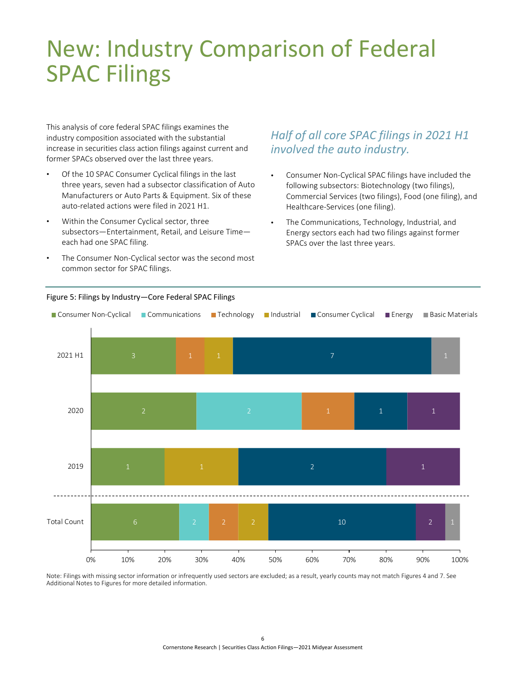## <span id="page-8-2"></span><span id="page-8-0"></span>New: Industry Comparison of Federal SPAC Filings

This analysis of core federal SPAC filings examines the industry composition associated with the substantial increase in securities class action filings against current and former SPACs observed over the last three years.

- Of the 10 SPAC Consumer Cyclical filings in the last three years, seven had a subsector classification of Auto Manufacturers or Auto Parts & Equipment. Six of these auto-related actions were filed in 2021 H1.
- Within the Consumer Cyclical sector, three subsectors—Entertainment, Retail, and Leisure Time each had one SPAC filing.
- The Consumer Non-Cyclical sector was the second most common sector for SPAC filings.

### *Half of all core SPAC filings in 2021 H1 involved the auto industry.*

- Consumer Non-Cyclical SPAC filings have included the following subsectors: Biotechnology (two filings), Commercial Services (two filings), Food (one filing), and Healthcare-Services (one filing).
- The Communications, Technology, Industrial, and Energy sectors each had two filings against former SPACs over the last three years.



#### <span id="page-8-1"></span>Figure 5: Filings by Industry—Core Federal SPAC Filings

Note: Filings with missing sector information or infrequently used sectors are excluded; as a result, yearly counts may not match Figures 4 and 7. See [Additional Notes to Figures](#page-25-1) for more detailed information.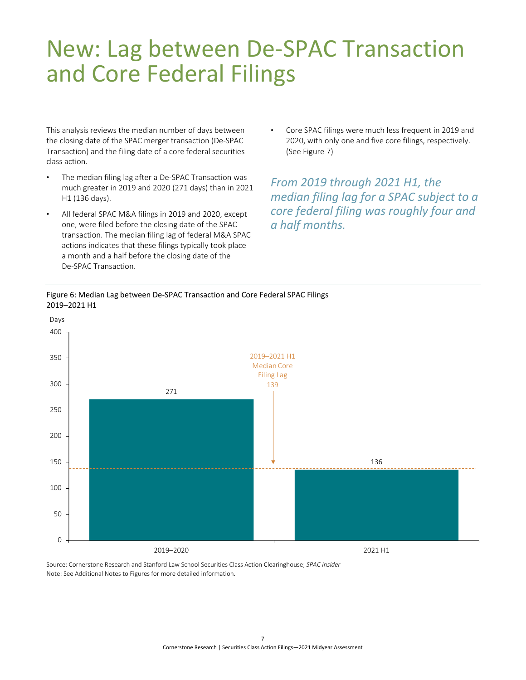### <span id="page-9-2"></span><span id="page-9-0"></span>New: Lag between De-SPAC Transaction and Core Federal Filings

This analysis reviews the median number of days between the closing date of the SPAC merger transaction (De-SPAC Transaction) and the filing date of a core federal securities class action.

- The median filing lag after a De-SPAC Transaction was much greater in 2019 and 2020 (271 days) than in 2021 H1 (136 days).
- All federal SPAC M&A filings in 2019 and 2020, except one, were filed before the closing date of the SPAC transaction. The median filing lag of federal M&A SPAC actions indicates that these filings typically took place a month and a half before the closing date of the De-SPAC Transaction.
- Core SPAC filings were much less frequent in 2019 and 2020, with only one and five core filings, respectively. [\(See Figure 7\)](#page-10-2)

*From 2019 through 2021 H1, the median filing lag for a SPAC subject to a core federal filing was roughly four and a half months.*

### <span id="page-9-1"></span>Figure 6: Median Lag between De-SPAC Transaction and Core Federal SPAC Filings 2019–2021 H1



Source: Cornerstone Research and Stanford Law School Securities Class Action Clearinghouse; *SPAC Insider* Note: [See Additional Notes to Figures](#page-25-1) for more detailed information.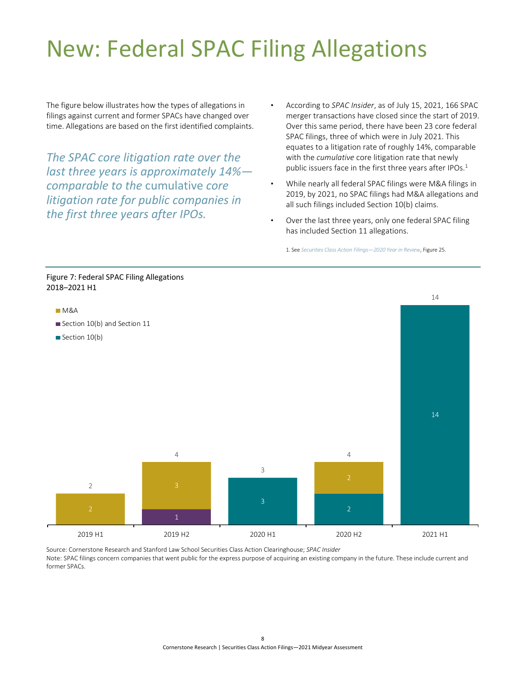## <span id="page-10-2"></span><span id="page-10-0"></span>New: Federal SPAC Filing Allegations

The figure below illustrates how the types of allegations in filings against current and former SPACs have changed over time. Allegations are based on the first identified complaints.

*The SPAC core litigation rate over the last three years is approximately 14% comparable to the* cumulative *core litigation rate for public companies in the first three years after IPOs.*

- According to *SPAC Insider*, as of July 15, 2021, 166 SPAC merger transactions have closed since the start of 2019. Over this same period, there have been 23 core federal SPAC filings, three of which were in July 2021. This equates to a litigation rate of roughly 14%, comparable with the *cumulative* core litigation rate that newly public issuers face in the first three years after IPOs.<sup>1</sup>
- While nearly all federal SPAC filings were M&A filings in 2019, by 2021, no SPAC filings had M&A allegations and all such filings included Section 10(b) claims.
- Over the last three years, only one federal SPAC filing has included Section 11 allegations.

1. See *[Securities Class Action Filings—2020 Year in Review](https://www.cornerstone.com/Publications/Reports/Securities-Class-Action-Filings-2020-Year-in-Review.pdf)*, Figure 25.

<span id="page-10-1"></span>

Source: Cornerstone Research and Stanford Law School Securities Class Action Clearinghouse; *SPAC Insider*

Note: SPAC filings concern companies that went public for the express purpose of acquiring an existing company in the future. These include current and former SPACs.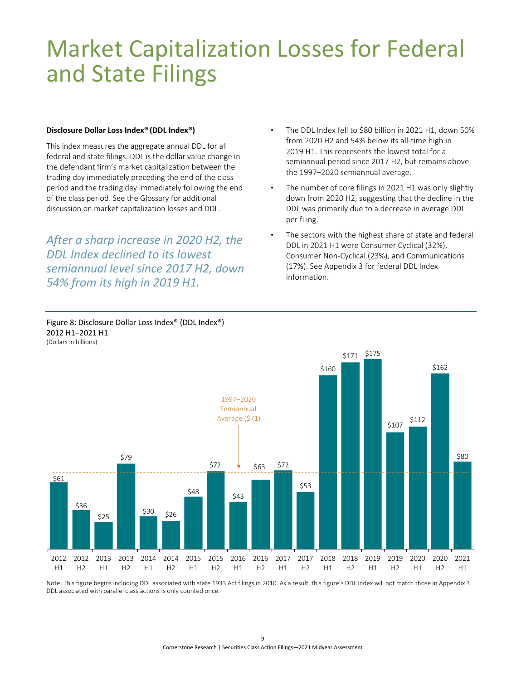### <span id="page-11-0"></span>Market Capitalization Losses for Federal and State Filings

#### **Disclosure Dollar Loss Index® (DDL Index®)**

This index measures the aggregate annual DDL for all federal and state filings. DDL is the dollar value change in the defendant firm's market capitalization between the trading day immediately preceding the end of the class period and the trading day immediately following the end of the class period. [See the Glossary f](#page-23-1)or additional discussion on market capitalization losses and DDL.

*After a sharp increase in 2020 H2, the DDL Index declined to its lowest semiannual level since 2017 H2, down 54% from its high in 2019 H1.*

<span id="page-11-1"></span>Figure 8: Disclosure Dollar Loss Index® (DDL Index®)

2012 H1–2021 H1

- The DDL Index fell to \$80 billion in 2021 H1, down 50% from 2020 H2 and 54% below its all-time high in 2019 H1. This represents the lowest total for a semiannual period since 2017 H2, but remains above the 1997–2020 semiannual average.
- The number of core filings in 2021 H1 was only slightly down from 2020 H2, suggesting that the decline in the DDL was primarily due to a decrease in average DDL per filing.
- The sectors with the highest share of state and federal DDL in 2021 H1 were Consumer Cyclical (32%), Consumer Non-Cyclical (23%), and Communications (17%). See Appendix 3 [for federal DDL Index](#page-28-2)  information.



Note: This figure begins including DDL associated with state 1933 Act filings in 2010. As a result, this figure's DDL Index will not match those i[n Appendix 3.](#page-28-2) DDL associated with parallel class actions is only counted once.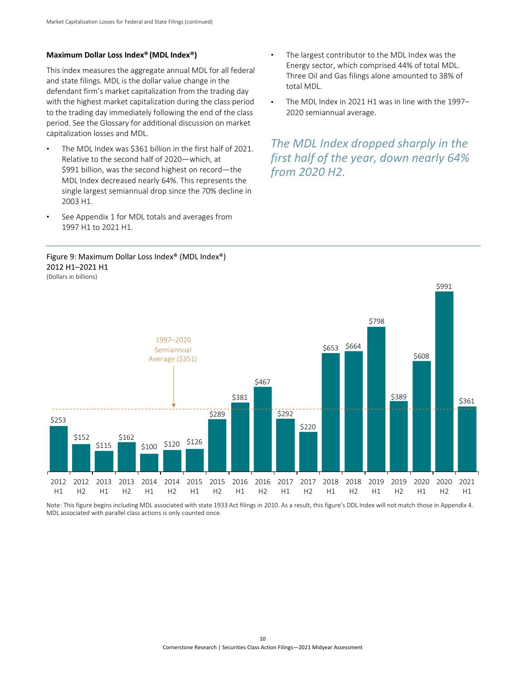#### <span id="page-12-1"></span>**Maximum Dollar Loss Index® (MDL Index®)**

This index measures the aggregate annual MDL for all federal and state filings. MDL is the dollar value change in the defendant firm's market capitalization from the trading day with the highest market capitalization during the class period to the trading day immediately following the end of the class period. See [the Glossary](#page-23-1) for additional discussion on market capitalization losses and MDL.

- The MDL Index was \$361 billion in the first half of 2021. Relative to the second half of 2020—which, at \$991 billion, was the second highest on record—the MDL Index decreased nearly 64%. This represents the single largest semiannual drop since the 70% decline in 2003 H1.
- [See Appendix 1 for MDL totals and averages](#page-27-2) from 1997 H1 to 2021 H1.

#### <span id="page-12-0"></span>Figure 9: Maximum Dollar Loss Index® (MDL Index®) 2012 H1–2021 H1 (Dollars in billions)

- The largest contributor to the MDL Index was the Energy sector, which comprised 44% of total MDL. Three Oil and Gas filings alone amounted to 38% of total MDL.
- The MDL Index in 2021 H1 was in line with the 1997– 2020 semiannual average.

*The MDL Index dropped sharply in the first half of the year, down nearly 64% from 2020 H2.*



Note: This figure begins including MDL associated with state 1933 Act filings in 2010. As a result, this figure's DDL Index will not match those in [Appendix 4.](#page-29-1) MDL associated with parallel class actions is only counted once.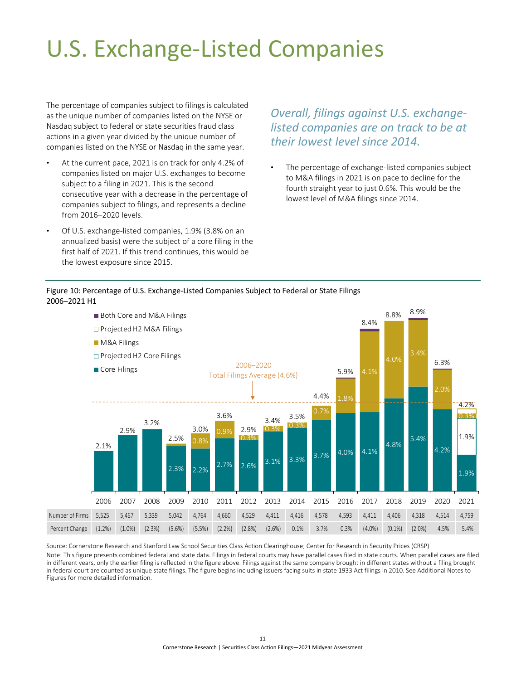## <span id="page-13-2"></span><span id="page-13-0"></span>U.S. Exchange-Listed Companies

The percentage of companies subject to filings is calculated as the unique number of companies listed on the NYSE or Nasdaq subject to federal or state securities fraud class actions in a given year divided by the unique number of companies listed on the NYSE or Nasdaq in the same year.

- At the current pace, 2021 is on track for only 4.2% of companies listed on major U.S. exchanges to become subject to a filing in 2021. This is the second consecutive year with a decrease in the percentage of companies subject to filings, and represents a decline from 2016–2020 levels.
- Of U.S. exchange-listed companies, 1.9% (3.8% on an annualized basis) were the subject of a core filing in the first half of 2021. If this trend continues, this would be the lowest exposure since 2015.

### *Overall, filings against U.S. exchangelisted companies are on track to be at their lowest level since 2014.*

The percentage of exchange-listed companies subject to M&A filings in 2021 is on pace to decline for the fourth straight year to just 0.6%. This would be the lowest level of M&A filings since 2014.

<span id="page-13-1"></span>

l.



Source: Cornerstone Research and Stanford Law School Securities Class Action Clearinghouse; Center for Research in Security Prices (CRSP) Note: This figure presents combined federal and state data. Filings in federal courts may have parallel cases filed in state courts. When parallel cases are filed in different years, only the earlier filing is reflected in the figure above. Filings against the same company brought in different states without a filing brought in federal court are counted as unique state filings. The figure begins including issuers facing suits in state 1933 Act filings in 2010. [See Additional Notes to](#page-25-1)  Figures [for more detailed information.](#page-25-1)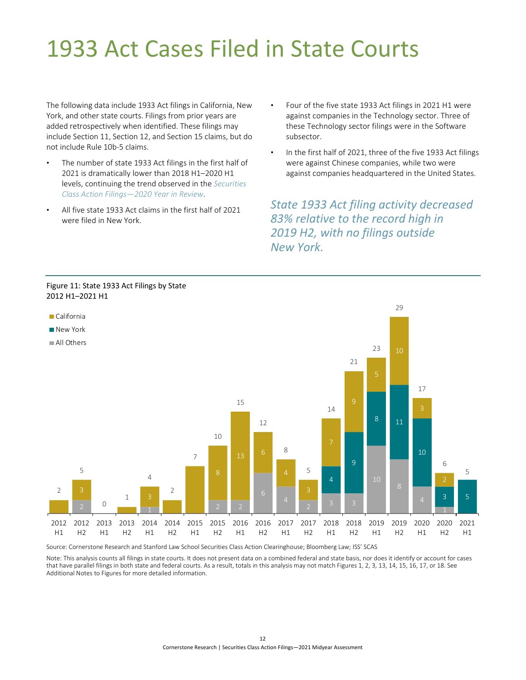## <span id="page-14-2"></span><span id="page-14-0"></span>1933 Act Cases Filed in State Courts

The following data include 1933 Act filings in California, New York, and other state courts. Filings from prior years are added retrospectively when identified. These filings may include Section 11, Section 12, and Section 15 claims, but do not include Rule 10b-5 claims.

- The number of state 1933 Act filings in the first half of 2021 is dramatically lower than 2018 H1–2020 H1 levels, continuing the trend observed in the *[Securities](https://www.cornerstone.com/Publications/Reports/Securities-Class-Action-Filings-2020-Year-in-Review.pdf)  [Class Action Filings—2020 Year in Review](https://www.cornerstone.com/Publications/Reports/Securities-Class-Action-Filings-2020-Year-in-Review.pdf)*.
- All five state 1933 Act claims in the first half of 2021 were filed in New York.
- Four of the five state 1933 Act filings in 2021 H1 were against companies in the Technology sector. Three of these Technology sector filings were in the Software subsector.
- In the first half of 2021, three of the five 1933 Act filings were against Chinese companies, while two were against companies headquartered in the United States.

*State 1933 Act filing activity decreased 83% relative to the record high in 2019 H2, with no filings outside New York.*

<span id="page-14-1"></span>

. . . . . . . . . . . . . . . .

Source: Cornerstone Research and Stanford Law School Securities Class Action Clearinghouse; Bloomberg Law; ISS' SCAS Ì

Note: This analysis counts all filings in state courts. It does not present data on a combined federal and state basis, nor does it identify or account for cases that have parallel filings in both state and federal courts. As a result, totals in this analysis may not match Figures 1, 2, 3, 13, 14, 15, 16, 17, or 18. See Additional Notes to Figures [for more detailed information.](#page-25-1)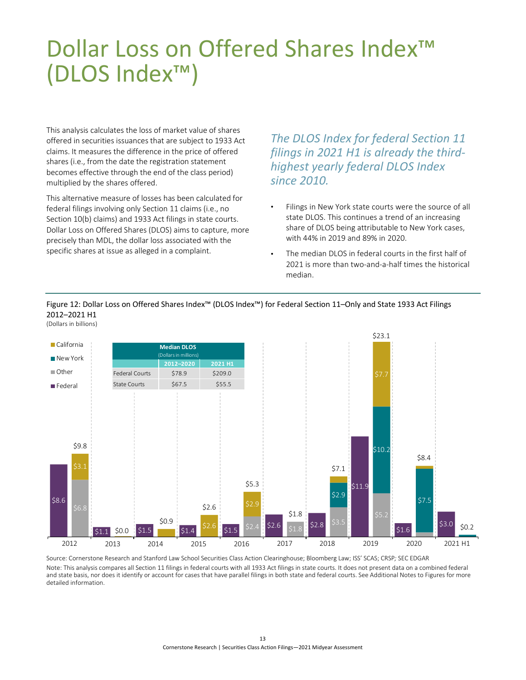## <span id="page-15-2"></span><span id="page-15-0"></span>Dollar Loss on Offered Shares Index<sup>™</sup> (DLOS Index™)

This analysis calculates the loss of market value of shares offered in securities issuances that are subject to 1933 Act claims. It measures the difference in the price of offered shares (i.e., from the date the registration statement becomes effective through the end of the class period) multiplied by the shares offered.

This alternative measure of losses has been calculated for federal filings involving only Section 11 claims (i.e., no Section 10(b) claims) and 1933 Act filings in state courts. Dollar Loss on Offered Shares (DLOS) aims to capture, more precisely than MDL, the dollar loss associated with the<br>specific shares at issue as alleged in a complaint. specific shares at issue as alleged in a complaint.

*The DLOS Index for federal Section 11 filings in 2021 H1 is already the thirdhighest yearly federal DLOS Index since 2010.*

Filings in New York state courts were the source of all state DLOS. This continues a trend of an increasing share of DLOS being attributable to New York cases, with 44% in 2019 and 89% in 2020.

The median DLOS in federal courts in the first half of 2021 is more than two-and-a-half times the historical median.

#### <span id="page-15-1"></span>Figure 12: Dollar Loss on Offered Shares Index™ (DLOS Index™) for Federal Section 11–Only and State 1933 Act Filings 2012–2021 H1 (Dollars in billions)



Source: Cornerstone Research and Stanford Law School Securities Class Action Clearinghouse; Bloomberg Law; ISS' SCAS; CRSP*;* SEC EDGAR Note: This analysis compares all Section 11 filings in federal courts with all 1933 Act filings in state courts. It does not present data on a combined federal and state basis, nor does it identify or account for cases that have parallel filings in both state and federal courts. [See Additional Notes to Figures](#page-25-1) for more [detailed information.](#page-25-1)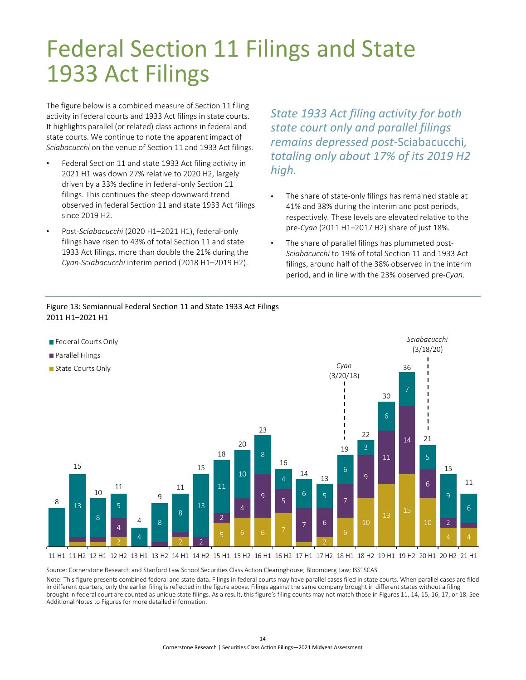## <span id="page-16-2"></span><span id="page-16-0"></span>Federal Section 11 Filings and State 1933 Act Filings

The figure below is a combined measure of Section 11 filing activity in federal courts and 1933 Act filings in state courts. It highlights parallel (or related) class actions in federal and state courts. We continue to note the apparent impact of *Sciabacucchi* on the venue of Section 11 and 1933 Act filings.

- Federal Section 11 and state 1933 Act filing activity in 2021 H1 was down 27% relative to 2020 H2, largely driven by a 33% decline in federal-only Section 11 filings. This continues the steep downward trend observed in federal Section 11 and state 1933 Act filings since 2019 H2.
- Post-*Sciabacucchi* (2020 H1–2021 H1), federal-only filings have risen to 43% of total Section 11 and state 1933 Act filings, more than double the 21% during the *Cyan*-*Sciabacucchi* interim period (2018 H1–2019 H2).

<span id="page-16-1"></span>Figure 13: Semiannual Federal Section 11 and State 1933 Act Filings

*State 1933 Act filing activity for both state court only and parallel filings remains depressed post-*Sciabacucchi*, totaling only about 17% of its 2019 H2 high.*

- The share of state-only filings has remained stable at 41% and 38% during the interim and post periods, respectively*.* These levels are elevated relative to the pre-*Cyan* (2011 H1–2017 H2) share of just 18%.
- The share of parallel filings has plummeted post-*Sciabacucchi* to 19% of total Section 11 and 1933 Act filings, around half of the 38% observed in the interim period, and in line with the 23% observed pre-*Cyan*.



Source: Cornerstone Research and Stanford Law School Securities Class Action Clearinghouse; Bloomberg Law; ISS' SCAS

Note: This figure presents combined federal and state data. Filings in federal courts may have parallel cases filed in state courts. When parallel cases are filed NOCE. This rigure presents combined rederal and state data. Fillings in rederal courts may have paraller cases illed in state courts. When paraller cases a<br>In different quarters, only the earlier filing is reflected in the brought in federal court are counted as unique state filings. As a result, this figure's filing counts may not match those in Figures 11, 14, 15, 16, 17, or 18. See Additional Notes to Figures [for more detailed information.](#page-26-0) י<br>.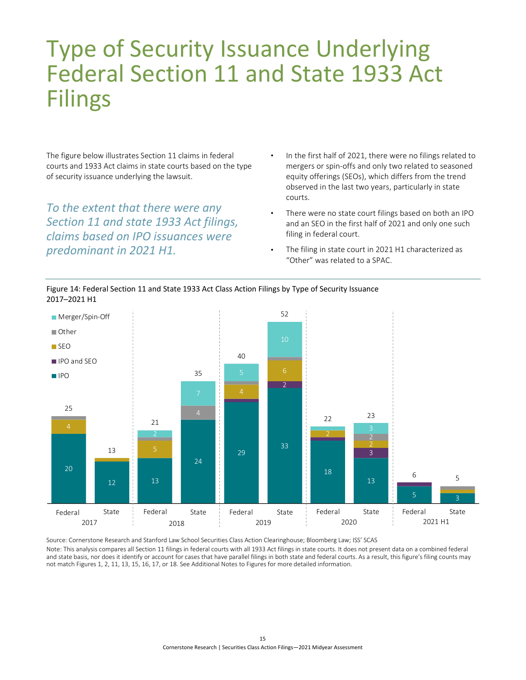### <span id="page-17-2"></span><span id="page-17-0"></span>Type of Security Issuance Underlying Federal Section 11 and State 1933 Act Filings

The figure below illustrates Section 11 claims in federal courts and 1933 Act claims in state courts based on the type of security issuance underlying the lawsuit.

*To the extent that there were any Section 11 and state 1933 Act filings, claims based on IPO issuances were predominant in 2021 H1.*

<span id="page-17-1"></span>

- In the first half of 2021, there were no filings related to mergers or spin-offs and only two related to seasoned equity offerings (SEOs), which differs from the trend observed in the last two years, particularly in state courts.
- There were no state court filings based on both an IPO and an SEO in the first half of 2021 and only one such filing in federal court.
- The filing in state court in 2021 H1 characterized as "Other" was related to a SPAC.





Source: Cornerstone Research and Stanford Law School Securities Class Action Clearinghouse; Bloomberg Law; ISS' SCAS Note: This analysis compares all Section 11 filings in federal courts with all 1933 Act filings in state courts. It does not present data on a combined federal and state basis, nor does it identify or account for cases that have parallel filings in both state and federal courts. As a result, this figure's filing counts may not match Figures 1, 2, 11, 13, 15, 16, 17, or 18. [See Additional Notes to Figures](#page-26-0) for more detailed information.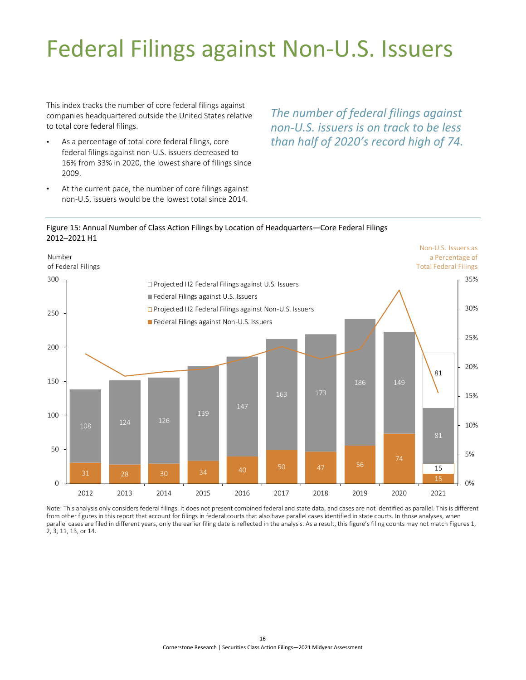## <span id="page-18-0"></span>Federal Filings against Non-U.S. Issuers

This index tracks the number of core federal filings against companies headquartered outside the United States relative to total core federal filings.

- As a percentage of total core federal filings, core federal filings against non-U.S. issuers decreased to 16% from 33% in 2020, the lowest share of filings since 2009.
- At the current pace, the number of core filings against non-U.S. issuers would be the lowest total since 2014.

*The number of federal filings against non-U.S. issuers is on track to be less than half of 2020's record high of 74.*  

<span id="page-18-1"></span>



Note: This analysis only considers federal filings. It does not present combined federal and state data, and cases are not identified as parallel. This is different from other figures in this report that account for filings in federal courts that also have parallel cases identified in state courts. In those analyses, when parallel cases are filed in different years, only the earlier filing date is reflected in the analysis. As a result, this figure's filing counts may not match Figures 1, 2, 3, 11, 13, or 14.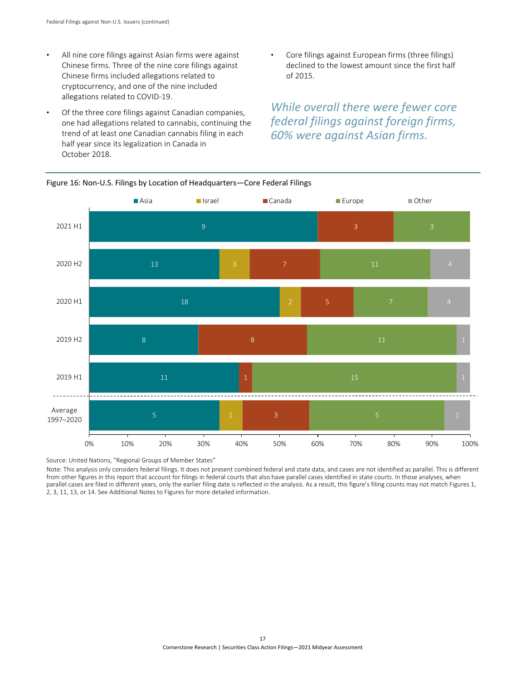- <span id="page-19-2"></span><span id="page-19-1"></span>All nine core filings against Asian firms were against Chinese firms. Three of the nine core filings against Chinese firms included allegations related to cryptocurrency, and one of the nine included allegations related to COVID-19.
- Of the three core filings against Canadian companies, one had allegations related to cannabis, continuing the trend of at least one Canadian cannabis filing in each half year since its legalization in Canada in October 2018.
- Core filings against European firms (three filings) declined to the lowest amount since the first half of 2015.

*While overall there were fewer core federal filings against foreign firms, 60% were against Asian firms.*



֦

<span id="page-19-0"></span>Figure 16: Non-U.S. Filings by Location of Headquarters—Core Federal Filings

Source: United Nations, "Regional Groups of Member States"

Note: This analysis only considers federal filings. It does not present combined federal and state data, and cases are not identified as parallel. This is different from other figures in this report that account for filings in federal courts that also have parallel cases identified in state courts. In those analyses, when parallel cases are filed in different years, only the earlier filing date is reflected in the analysis. As a result, this figure's filing counts may not match Figures 1, 2, 3, 11, 13, or 14. [See Additional Notes to Figures](#page-26-0) for more detailed information.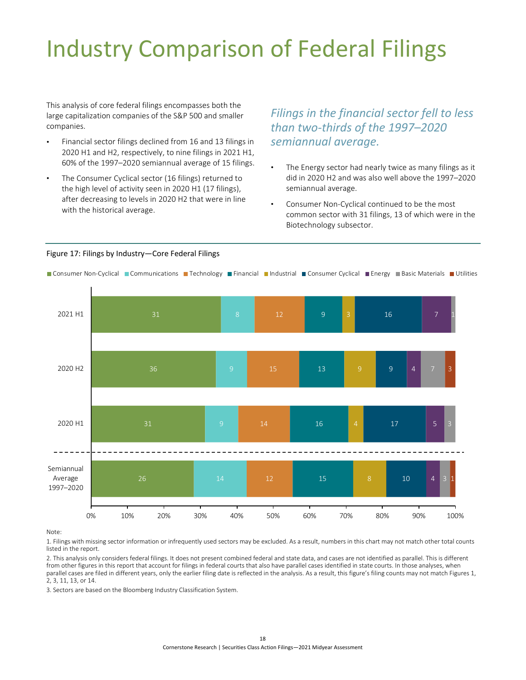## <span id="page-20-0"></span>Industry Comparison of Federal Filings

This analysis of core federal filings encompasses both the large capitalization companies of the S&P 500 and smaller companies.

- Financial sector filings declined from 16 and 13 filings in 2020 H1 and H2, respectively, to nine filings in 2021 H1, 60% of the 1997–2020 semiannual average of 15 filings.
- The Consumer Cyclical sector (16 filings) returned to the high level of activity seen in 2020 H1 (17 filings), after decreasing to levels in 2020 H2 that were in line with the historical average.

*Filings in the financial sector fell to less than two-thirds of the 1997–2020 semiannual average.* 

- The Energy sector had nearly twice as many filings as it did in 2020 H2 and was also well above the 1997–2020 semiannual average.
- Consumer Non-Cyclical continued to be the most common sector with 31 filings, 13 of which were in the Biotechnology subsector.

#### <span id="page-20-1"></span>Figure 17: Filings by Industry—Core Federal Filings

Consumer Non-Cyclical Communications Technology Financial Industrial Consumer Cyclical Energy Basic Materials Utilities

j



Note:

1. Filings with missing sector information or infrequently used sectors may be excluded. As a result, numbers in this chart may not match other total counts listed in the report.

2. This analysis only considers federal filings. It does not present combined federal and state data, and cases are not identified as parallel. This is different from other figures in this report that account for filings in federal courts that also have parallel cases identified in state courts. In those analyses, when parallel cases are filed in different years, only the earlier filing date is reflected in the analysis. As a result, this figure's filing counts may not match Figures 1, 2, 3, 11, 13, or 14.

3. Sectors are based on the Bloomberg Industry Classification System.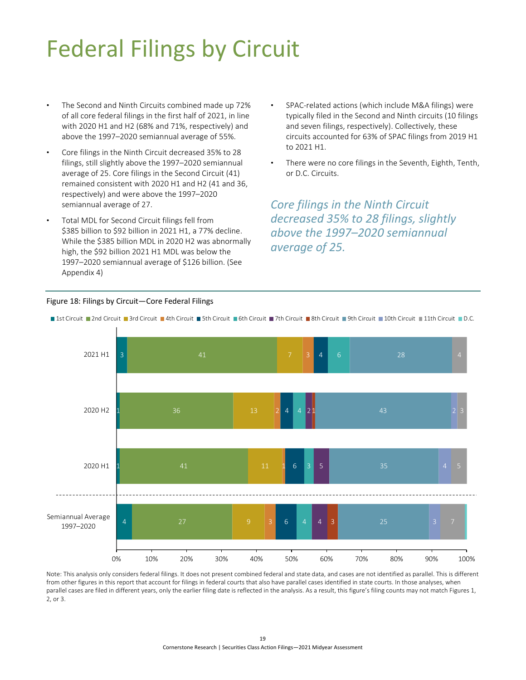## <span id="page-21-0"></span>Federal Filings by Circuit

- The Second and Ninth Circuits combined made up 72% of all core federal filings in the first half of 2021, in line with 2020 H1 and H2 (68% and 71%, respectively) and above the 1997–2020 semiannual average of 55%.
- Core filings in the Ninth Circuit decreased 35% to 28 filings, still slightly above the 1997–2020 semiannual average of 25. Core filings in the Second Circuit (41) remained consistent with 2020 H1 and H2 (41 and 36, respectively) and were above the 1997–2020 semiannual average of 27.
- Total MDL for Second Circuit filings fell from \$385 billion to \$92 billion in 2021 H1, a 77% decline. While the \$385 billion MDL in 2020 H2 was abnormally high, the \$92 billion 2021 H1 MDL was below the 1997–2020 semiannual average of \$126 billion. [\(See](#page-29-1)  [Appendix 4\)](#page-29-1)
- SPAC-related actions (which include M&A filings) were typically filed in the Second and Ninth circuits (10 filings and seven filings, respectively). Collectively, these circuits accounted for 63% of SPAC filings from 2019 H1 to 2021 H1.
- There were no core filings in the Seventh, Eighth, Tenth, or D.C. Circuits.

*Core filings in the Ninth Circuit decreased 35% to 28 filings, slightly above the 1997–2020 semiannual average of 25.*

......................



### <span id="page-21-1"></span>Figure 18: Filings by Circuit—Core Federal Filings

Note: This analysis only considers federal filings. It does not present combined federal and state data, and cases are not identified as parallel. This is different from other figures in this report that account for filings in federal courts that also have parallel cases identified in state courts. In those analyses, when parallel cases are filed in different years, only the earlier filing date is reflected in the analysis. As a result, this figure's filing counts may not match Figures 1, 2, or 3.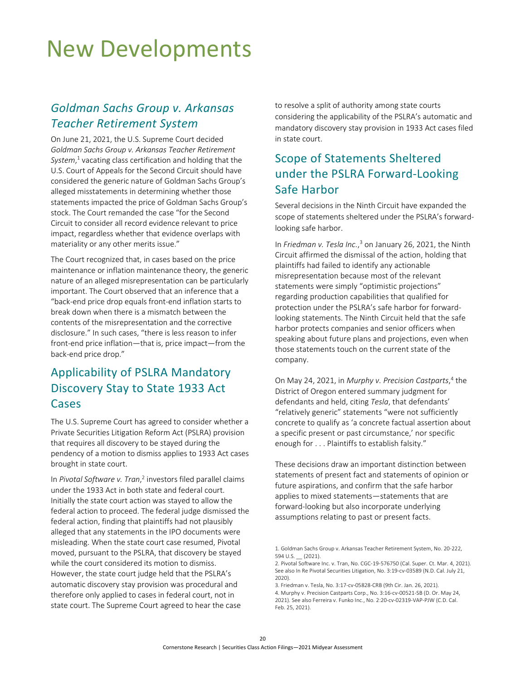### <span id="page-22-0"></span>New Developments

### *Goldman Sachs Group v. Arkansas Teacher Retirement System*

On June 21, 2021, the U.S. Supreme Court decided *Goldman Sachs Group v. Arkansas Teacher Retirement System*, <sup>1</sup> vacating class certification and holding that the U.S. Court of Appeals for the Second Circuit should have considered the generic nature of Goldman Sachs Group's alleged misstatements in determining whether those statements impacted the price of Goldman Sachs Group's stock. The Court remanded the case "for the Second Circuit to consider all record evidence relevant to price impact, regardless whether that evidence overlaps with materiality or any other merits issue."

The Court recognized that, in cases based on the price maintenance or inflation maintenance theory, the generic nature of an alleged misrepresentation can be particularly important. The Court observed that an inference that a "back-end price drop equals front-end inflation starts to break down when there is a mismatch between the contents of the misrepresentation and the corrective disclosure." In such cases, "there is less reason to infer front-end price inflation—that is, price impact—from the back-end price drop."

### Applicability of PSLRA Mandatory Discovery Stay to State 1933 Act **Cases**

The U.S. Supreme Court has agreed to consider whether a Private Securities Litigation Reform Act (PSLRA) provision that requires all discovery to be stayed during the pendency of a motion to dismiss applies to 1933 Act cases brought in state court.

In Pivotal Software v. Tran,<sup>2</sup> investors filed parallel claims under the 1933 Act in both state and federal court. Initially the state court action was stayed to allow the federal action to proceed. The federal judge dismissed the federal action, finding that plaintiffs had not plausibly alleged that any statements in the IPO documents were misleading. When the state court case resumed, Pivotal moved, pursuant to the PSLRA, that discovery be stayed while the court considered its motion to dismiss. However, the state court judge held that the PSLRA's automatic discovery stay provision was procedural and therefore only applied to cases in federal court, not in state court. The Supreme Court agreed to hear the case

to resolve a split of authority among state courts considering the applicability of the PSLRA's automatic and mandatory discovery stay provision in 1933 Act cases filed in state court.

### Scope of Statements Sheltered under the PSLRA Forward-Looking Safe Harbor

Several decisions in the Ninth Circuit have expanded the scope of statements sheltered under the PSLRA's forwardlooking safe harbor.

In *Friedman v. Tesla Inc.*, <sup>3</sup> on January 26, 2021, the Ninth Circuit affirmed the dismissal of the action, holding that plaintiffs had failed to identify any actionable misrepresentation because most of the relevant statements were simply "optimistic projections" regarding production capabilities that qualified for protection under the PSLRA's safe harbor for forwardlooking statements. The Ninth Circuit held that the safe harbor protects companies and senior officers when speaking about future plans and projections, even when those statements touch on the current state of the company.

On May 24, 2021, in *Murphy v. Precision Castparts*, <sup>4</sup> the District of Oregon entered summary judgment for defendants and held, citing *Tesla*, that defendants' "relatively generic" statements "were not sufficiently concrete to qualify as 'a concrete factual assertion about a specific present or past circumstance,' nor specific enough for . . . Plaintiffs to establish falsity."

These decisions draw an important distinction between statements of present fact and statements of opinion or future aspirations, and confirm that the safe harbor applies to mixed statements—statements that are forward-looking but also incorporate underlying assumptions relating to past or present facts.

<sup>1.</sup> Goldman Sachs Group v. Arkansas Teacher Retirement System, No. 20-222, 594 U.S. (2021).

<sup>2.</sup> Pivotal Software Inc. v. Tran, No. CGC-19-576750 (Cal. Super. Ct. Mar. 4, 2021). See also In Re Pivotal Securities Litigation, No. 3:19-cv-03589 (N.D. Cal. July 21, 2020).

<sup>3.</sup> Friedman v. Tesla, No. 3:17-cv-05828-CRB (9th Cir. Jan. 26, 2021).

<sup>4.</sup> Murphy v. Precision Castparts Corp., No. 3:16-cv-00521-SB (D. Or. May 24, 2021). See also Ferreira v. Funko Inc., No. 2:20-cv-02319-VAP-PJW (C.D. Cal. Feb. 25, 2021).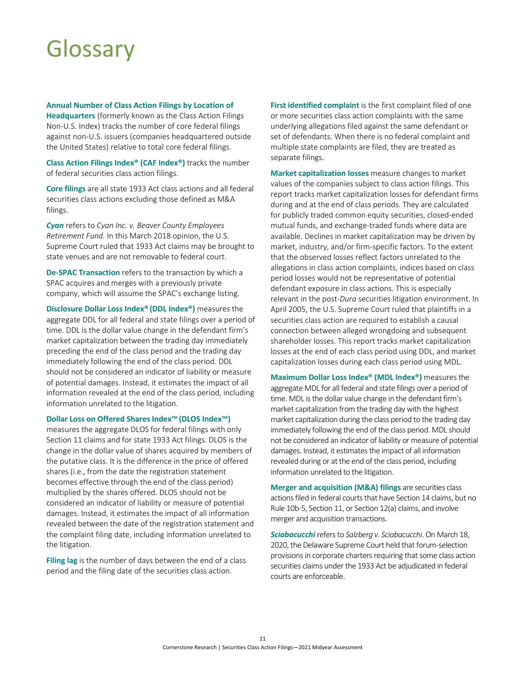## <span id="page-23-1"></span><span id="page-23-0"></span>Glossary

**Annual Number of Class Action Filings by Location of** 

**Headquarters** (formerly known as the Class Action Filings Non-U.S. Index) tracks the number of core federal filings against non-U.S. issuers (companies headquartered outside the United States) relative to total core federal filings.

**Class Action Filings Index® (CAF Index®)** tracks the number of federal securities class action filings.

**Core filings** are all state 1933 Act class actions and all federal securities class actions excluding those defined as M&A filings.

*Cyan* refers to *Cyan Inc. v. Beaver County Employees Retirement Fund.* In this March 2018 opinion, the U.S. Supreme Court ruled that 1933 Act claims may be brought to state venues and are not removable to federal court.

**De-SPAC Transaction** refers to the transaction by which a SPAC acquires and merges with a previously private company, which will assume the SPAC's exchange listing.

**Disclosure Dollar Loss Index® (DDL Index®)** measures the aggregate DDL for all federal and state filings over a period of time. DDL is the dollar value change in the defendant firm's market capitalization between the trading day immediately preceding the end of the class period and the trading day immediately following the end of the class period. DDL should not be considered an indicator of liability or measure of potential damages. Instead, it estimates the impact of all information revealed at the end of the class period, including information unrelated to the litigation.

#### **Dollar Loss on Offered Shares Index™(DLOS Index™)**

measures the aggregate DLOS for federal filings with only Section 11 claims and for state 1933 Act filings. DLOS is the change in the dollar value of shares acquired by members of the putative class. It is the difference in the price of offered shares (i.e., from the date the registration statement becomes effective through the end of the class period) multiplied by the shares offered. DLOS should not be considered an indicator of liability or measure of potential damages. Instead, it estimates the impact of all information revealed between the date of the registration statement and the complaint filing date, including information unrelated to the litigation.

**Filing lag** is the number of days between the end of a class period and the filing date of the securities class action.

**First identified complaint** is the first complaint filed of one or more securities class action complaints with the same underlying allegations filed against the same defendant or set of defendants. When there is no federal complaint and multiple state complaints are filed, they are treated as separate filings.

**Market capitalization losses** measure changes to market values of the companies subject to class action filings. This report tracks market capitalization losses for defendant firms during and at the end of class periods. They are calculated for publicly traded common equity securities, closed-ended mutual funds, and exchange-traded funds where data are available. Declines in market capitalization may be driven by market, industry, and/or firm-specific factors. To the extent that the observed losses reflect factors unrelated to the allegations in class action complaints, indices based on class period losses would not be representative of potential defendant exposure in class actions. This is especially relevant in the post-*Dura* securities litigation environment. In April 2005, the U.S. Supreme Court ruled that plaintiffs in a securities class action are required to establish a causal connection between alleged wrongdoing and subsequent shareholder losses. This report tracks market capitalization losses at the end of each class period using DDL, and market capitalization losses during each class period using MDL.

**Maximum Dollar Loss Index® (MDL Index®)** measures the aggregate MDL for all federal and state filings over a period of time. MDL is the dollar value change in the defendant firm's market capitalization from the trading day with the highest market capitalization during the class period to the trading day immediately following the end of the class period. MDL should not be considered an indicator of liability or measure of potential damages. Instead, it estimates the impact of all information revealed during or at the end of the class period, including information unrelated to the litigation.

**Merger and acquisition (M&A) filings** are securities class actions filed in federal courts that have Section 14 claims, but no Rule 10b-5, Section 11, or Section 12(a) claims, and involve merger and acquisition transactions.

*Sciabacucchi* refers to *Salzberg v. Sciabacucchi*. On March 18, 2020, the Delaware Supreme Court held that forum-selection provisions in corporate charters requiring that some class action securities claims under the 1933 Act be adjudicated in federal courts are enforceable.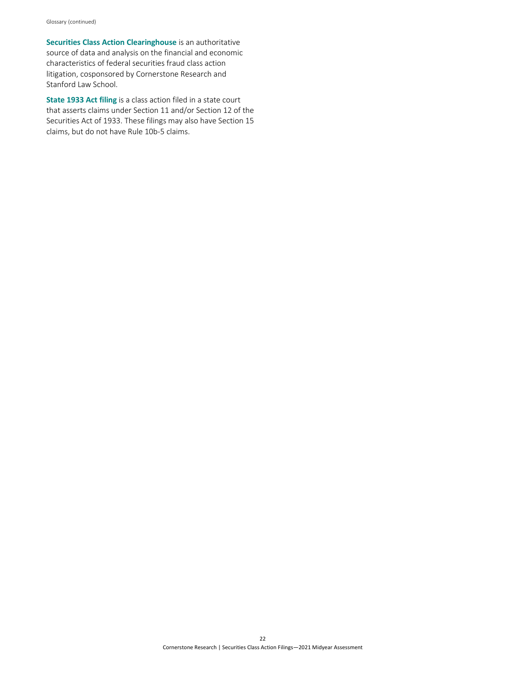**Securities Class Action Clearinghouse** is an authoritative source of data and analysis on the financial and economic characteristics of federal securities fraud class action litigation, cosponsored by Cornerstone Research and Stanford Law School.

**State 1933 Act filing** is a class action filed in a state court that asserts claims under Section 11 and/or Section 12 of the Securities Act of 1933. These filings may also have Section 15 claims, but do not have Rule 10b-5 claims.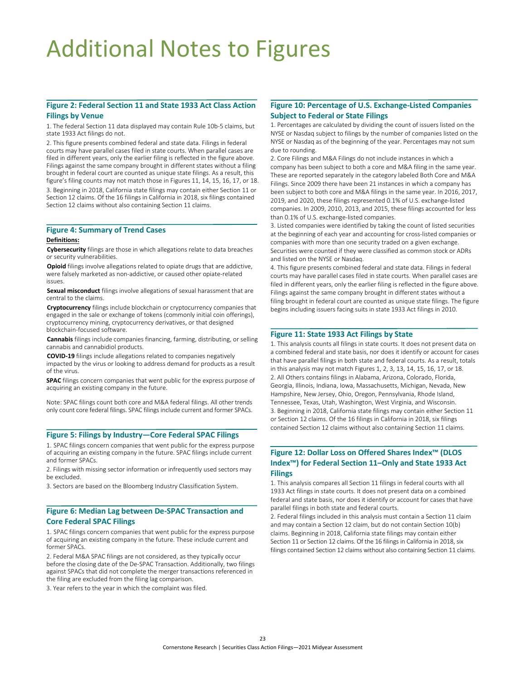## <span id="page-25-1"></span><span id="page-25-0"></span>Additional Notes to Figures

#### **[Figure 2: Federal Section](#page-5-2) 11 and State 1933 Act Class Action Filings by Venue**

1. The federal Section 11 data displayed may contain Rule 10b-5 claims, but state 1933 Act filings do not.

2. This figure presents combined federal and state data. Filings in federal courts may have parallel cases filed in state courts. When parallel cases are filed in different years, only the earlier filing is reflected in the figure above. Filings against the same company brought in different states without a filing brought in federal court are counted as unique state filings. As a result, this figure's filing counts may not match those in Figures 11, 14, 15, 16, 17, or 18.

3. Beginning in 2018, California state filings may contain either Section 11 or Section 12 claims. Of the 16 filings in California in 2018, six filings contained Section 12 claims without also containing Section 11 claims.

#### **[Figure 4: Summary of Trend Cases](#page-7-2)**

#### **Definitions:**

 **Cybersecurity** filings are those in which allegations relate to data breaches or security vulnerabilities.

**Opioid** filings involve allegations related to opiate drugs that are addictive, were falsely marketed as non-addictive, or caused other opiate-related issues.

**Sexual misconduct** filings involve allegations of sexual harassment that are central to the claims.

**Cryptocurrency** filings include blockchain or cryptocurrency companies that engaged in the sale or exchange of tokens (commonly initial coin offerings), cryptocurrency mining, cryptocurrency derivatives, or that designed blockchain-focused software.

**Cannabis** filings include companies financing, farming, distributing, or selling cannabis and cannabidiol products.

**COVID-19** filings include allegations related to companies negatively impacted by the virus or looking to address demand for products as a result of the virus.

**SPAC** filings concern companies that went public for the express purpose of acquiring an existing company in the future.

Note: SPAC filings count both core and M&A federal filings. All other trends only count core federal filings. SPAC filings include current and former SPACs.

#### **[Figure 5: Filings by Industry—Core Federal SPAC Filings](#page-8-2)**

1. SPAC filings concern companies that went public for the express purpose of acquiring an existing company in the future. SPAC filings include current and former SPACs.

2. Filings with missing sector information or infrequently used sectors may be excluded.

3. Sectors are based on the Bloomberg Industry Classification System.

#### **[Figure 6: Median Lag between De-SPAC Transaction and](#page-9-2)  Core Federal SPAC Filings**

1. SPAC filings concern companies that went public for the express purpose of acquiring an existing company in the future. These include current and former SPACs.

2. Federal M&A SPAC filings are not considered, as they typically occur before the closing date of the De-SPAC Transaction. Additionally, two filings against SPACs that did not complete the merger transactions referenced in the filing are excluded from the filing lag comparison.

3. Year refers to the year in which the complaint was filed.

#### **[Figure 10: Percentage of U.S. Exchange-Listed Companies](#page-13-2)  Subject to Federal or State Filings**

1. Percentages are calculated by dividing the count of issuers listed on the NYSE or Nasdaq subject to filings by the number of companies listed on the NYSE or Nasdaq as of the beginning of the year. Percentages may not sum due to rounding.

2. Core Filings and M&A Filings do not include instances in which a company has been subject to both a core and M&A filing in the same year. These are reported separately in the category labeled Both Core and M&A Filings. Since 2009 there have been 21 instances in which a company has been subject to both core and M&A filings in the same year. In 2016, 2017, 2019, and 2020, these filings represented 0.1% of U.S. exchange-listed companies. In 2009, 2010, 2013, and 2015, these filings accounted for less than 0.1% of U.S. exchange-listed companies.

3. Listed companies were identified by taking the count of listed securities at the beginning of each year and accounting for cross-listed companies or companies with more than one security traded on a given exchange. Securities were counted if they were classified as common stock or ADRs and listed on the NYSE or Nasdaq.

4. This figure presents combined federal and state data. Filings in federal courts may have parallel cases filed in state courts. When parallel cases are filed in different years, only the earlier filing is reflected in the figure above. Filings against the same company brought in different states without a filing brought in federal court are counted as unique state filings. The figure begins including issuers facing suits in state 1933 Act filings in 2010.

#### **Figure 11: State 1933 [Act Filings by State](#page-14-2)**

1. This analysis counts all filings in state courts. It does not present data on a combined federal and state basis, nor does it identify or account for cases that have parallel filings in both state and federal courts. As a result, totals in this analysis may not match Figures 1, 2, 3, 13, 14, 15, 16, 17, or 18. 2. All Others contains filings in Alabama, Arizona, Colorado, Florida, Georgia, Illinois, Indiana, Iowa, Massachusetts, Michigan, Nevada, New Hampshire, New Jersey, Ohio, Oregon, Pennsylvania, Rhode Island, Tennessee, Texas, Utah, Washington, West Virginia, and Wisconsin. 3. Beginning in 2018, California state filings may contain either Section 11 or Section 12 claims. Of the 16 filings in California in 2018, six filings contained Section 12 claims without also containing Section 11 claims.

#### **[Figure 12: Dollar Loss on Offered Shares Index™ \(DLOS](#page-15-2)  Index™) for Federal Section 11–Only and State 1933 Act Filings**

1. This analysis compares all Section 11 filings in federal courts with all 1933 Act filings in state courts. It does not present data on a combined federal and state basis, nor does it identify or account for cases that have parallel filings in both state and federal courts.

2. Federal filings included in this analysis must contain a Section 11 claim and may contain a Section 12 claim, but do not contain Section 10(b) claims. Beginning in 2018, California state filings may contain either Section 11 or Section 12 claims. Of the 16 filings in California in 2018, six filings contained Section 12 claims without also containing Section 11 claims.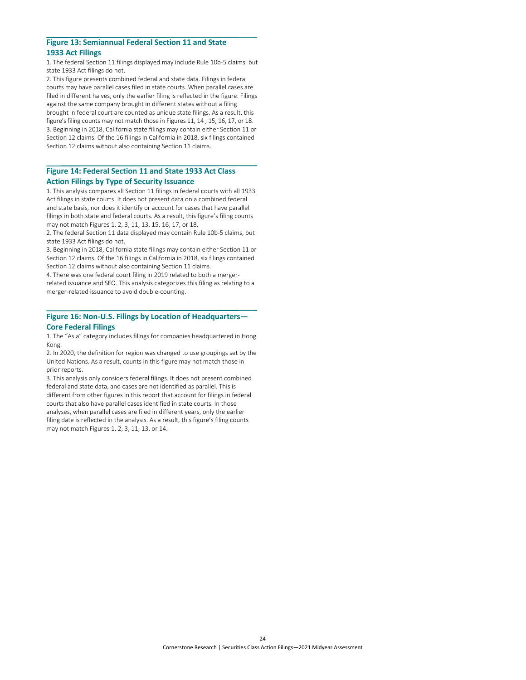### <span id="page-26-0"></span>**[Figure 13: Semiannual Federal Section](#page-16-2) 11 and State**

#### **1933 Act Filings**

1. The federal Section 11 filings displayed may include Rule 10b-5 claims, but state 1933 Act filings do not.

2. This figure presents combined federal and state data. Filings in federal courts may have parallel cases filed in state courts. When parallel cases are filed in different halves, only the earlier filing is reflected in the figure. Filings against the same company brought in different states without a filing brought in federal court are counted as unique state filings. As a result, this figure's filing counts may not match those in Figures 11, 14 , 15, 16, 17, or 18. 3. Beginning in 2018, California state filings may contain either Section 11 or Section 12 claims. Of the 16 filings in California in 2018, six filings contained Section 12 claims without also containing Section 11 claims.

#### **Figure 14: Federal Section 11 and State 1933 Act Class [Action Filings by Type of Security Issuance](#page-17-2)**

1. This analysis compares all Section 11 filings in federal courts with all 1933 Act filings in state courts. It does not present data on a combined federal and state basis, nor does it identify or account for cases that have parallel filings in both state and federal courts. As a result, this figure's filing counts may not match Figures 1, 2, 3, 11, 13, 15, 16, 17, or 18.

2. The federal Section 11 data displayed may contain Rule 10b-5 claims, but state 1933 Act filings do not.

3. Beginning in 2018, California state filings may contain either Section 11 or Section 12 claims. Of the 16 filings in California in 2018, six filings contained Section 12 claims without also containing Section 11 claims.

4. There was one federal court filing in 2019 related to both a mergerrelated issuance and SEO. This analysis categorizes this filing as relating to a merger-related issuance to avoid double-counting.

#### **[Figure 16: Non-U.S. Filings by Location of Headquarters—](#page-19-2) Core Federal Filings**

1. The "Asia" category includes filings for companies headquartered in Hong Kong.

2. In 2020, the definition for region was changed to use groupings set by the United Nations. As a result, counts in this figure may not match those in prior reports.

3. This analysis only considers federal filings. It does not present combined federal and state data, and cases are not identified as parallel. This is different from other figures in this report that account for filings in federal courts that also have parallel cases identified in state courts. In those analyses, when parallel cases are filed in different years, only the earlier filing date is reflected in the analysis. As a result, this figure's filing counts may not match Figures 1, 2, 3, 11, 13, or 14.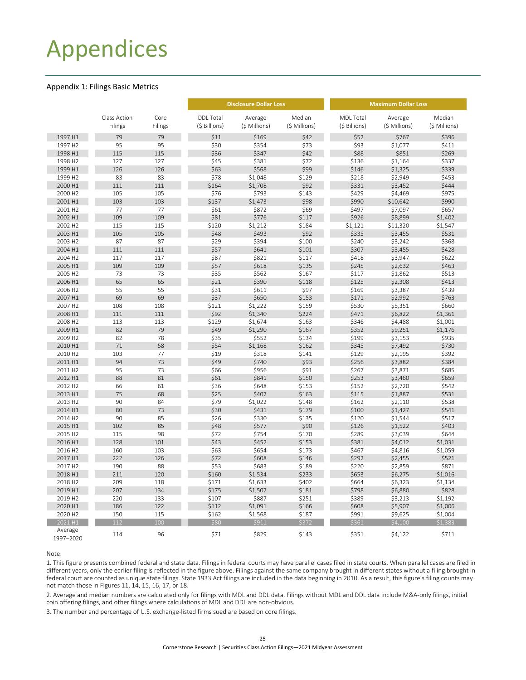### <span id="page-27-2"></span><span id="page-27-0"></span>Appendices

#### <span id="page-27-1"></span>Appendix 1: Filings Basic Metrics

|                      |                         |                 |                                   | <b>Disclosure Dollar Loss</b> |                         | <b>Maximum Dollar Loss</b>        |                          |                         |  |  |
|----------------------|-------------------------|-----------------|-----------------------------------|-------------------------------|-------------------------|-----------------------------------|--------------------------|-------------------------|--|--|
|                      | Class Action<br>Filings | Core<br>Filings | <b>DDL Total</b><br>(\$ Billions) | Average<br>(\$ Millions)      | Median<br>(\$ Millions) | <b>MDL Total</b><br>(\$ Billions) | Average<br>(\$ Millions) | Median<br>(\$ Millions) |  |  |
|                      |                         |                 |                                   |                               |                         |                                   |                          |                         |  |  |
| 1997 H1              | 79                      | 79              | \$11                              | \$169                         | \$42                    | \$52                              | \$767                    | \$396                   |  |  |
| 1997 H2              | 95                      | 95              | \$30                              | \$354                         | \$73                    | \$93                              | \$1,077                  | \$411                   |  |  |
| 1998 H1              | 115                     | 115             | \$36                              | \$347                         | \$42                    | \$88                              | \$851                    | \$269                   |  |  |
| 1998 H <sub>2</sub>  | 127                     | 127             | \$45                              | \$381                         | \$72                    | \$136                             | \$1,164                  | \$337                   |  |  |
| 1999 H1              | 126                     | 126             | \$63                              | \$568                         | \$99                    | \$146                             | \$1,325                  | \$339                   |  |  |
| 1999 H2              | 83                      | 83              | \$78                              | \$1,048                       | \$129                   | \$218                             | \$2,949                  | \$453                   |  |  |
| 2000 H1              | 111                     | 111             | \$164                             | \$1,708                       | \$92                    | \$331                             | \$3,452                  | \$444                   |  |  |
| 2000 H2              | 105                     | 105             | \$76                              | \$793                         | \$143                   | \$429                             | \$4,469                  | \$975                   |  |  |
| 2001 H1              | 103                     | 103             | \$137                             | \$1,473                       | \$98                    | \$990                             | \$10,642                 | \$990                   |  |  |
| 2001 H2              | 77                      | 77              | \$61                              | \$872                         | \$69                    | \$497                             | \$7,097                  | \$657                   |  |  |
| 2002 H1              | 109                     | 109             | \$81                              | \$776                         | \$117                   | \$926                             | \$8,899                  | \$1,402                 |  |  |
| 2002 H2              | 115                     | 115             | \$120                             | \$1,212                       | \$184                   | \$1,121                           | \$11,320                 | \$1,547                 |  |  |
| 2003 H1              | 105                     | 105             | \$48                              | \$493                         | \$92                    | \$335                             | \$3,455                  | \$531                   |  |  |
| 2003 H2              | 87                      | 87              | \$29                              | \$394                         | \$100                   | \$240                             | \$3,242                  | \$368                   |  |  |
| 2004 H1              | 111                     | 111             | \$57                              | \$641                         | \$101                   | \$307                             | \$3,455                  | \$428                   |  |  |
| 2004 H2              | 117                     | 117             | \$87                              | \$821                         | \$117                   | \$418                             | \$3,947                  | \$622                   |  |  |
| 2005 H1              | 109                     | 109             | \$57                              | \$618                         | \$135                   | \$245                             | \$2,632                  | \$463                   |  |  |
| 2005 H2              | 73                      | 73              | \$35                              | \$562                         | \$167                   | \$117                             | \$1,862                  | \$513                   |  |  |
| 2006 H1              | 65                      | 65              | \$21                              | \$390                         | \$118                   | \$125                             | \$2,308                  | \$413                   |  |  |
| 2006 H2              | 55                      | 55              | \$31                              | \$611                         | \$97                    | \$169                             | \$3,387                  | \$439                   |  |  |
| 2007 H1              | 69                      | 69              | \$37                              | \$650                         | \$153                   | \$171                             | \$2,992                  | \$763                   |  |  |
| 2007 H2              | 108                     | 108             | \$121                             | \$1,222                       | \$159                   | \$530                             | \$5,351                  | \$660                   |  |  |
| 2008 H1              | 111                     | 111             | \$92                              | \$1,340                       | \$224                   | \$471                             | \$6,822                  | \$1,361                 |  |  |
| 2008 H2              | 113                     | 113             | \$129                             | \$1,674                       | \$163                   | \$346                             | \$4,488                  | \$1,001                 |  |  |
| 2009 H1              | 82                      | 79              | \$49                              | \$1,290                       | \$167                   | \$352                             | \$9,251                  | \$1,176                 |  |  |
| 2009 H2              | 82                      | 78              | \$35                              | \$552                         | \$134                   | \$199                             | \$3,153                  | \$935                   |  |  |
| 2010 H1              | 71                      | 58              | \$54                              | \$1,168                       | \$162                   | \$345                             | \$7,492                  | \$730                   |  |  |
| 2010 H2              | 103                     | 77              | \$19                              | \$318                         | \$141                   | \$129                             | \$2,195                  | \$392                   |  |  |
| 2011 H1              | 94                      | 73              | \$49                              | \$740                         | \$93                    | \$256                             | \$3,882                  | \$384                   |  |  |
| 2011 H2              | 95                      | 73              | \$66                              | \$956                         | \$91                    | \$267                             | \$3,871                  | \$685                   |  |  |
| 2012 H1              | 88                      | 81              | \$61                              | \$841                         | \$150                   | \$253                             | \$3,460                  | \$659                   |  |  |
| 2012 H2              | 66                      | 61              | \$36                              | \$648                         | \$153                   | \$152                             | \$2,720                  | \$542                   |  |  |
| 2013 H1              | 75                      | 68              | \$25                              | \$407                         | \$163                   | \$115                             | \$1,887                  | \$531                   |  |  |
| 2013 H2              | 90                      | 84              | \$79                              | \$1,022                       | \$148                   | \$162                             | \$2,110                  | \$538                   |  |  |
| 2014 H1              | 80                      | 73              | \$30                              | \$431                         | \$179                   | \$100                             | \$1,427                  | \$541                   |  |  |
| 2014 H <sub>2</sub>  | 90                      | 85              | \$26                              | \$330                         | \$135                   | \$120                             | \$1,544                  | \$517                   |  |  |
| 2015 H1              | 102                     | 85              | \$48                              | \$577                         | \$90                    | \$126                             | \$1,522                  | \$403                   |  |  |
| 2015 H2              | 115                     | 98              | \$72                              | \$754                         | \$170                   | \$289                             | \$3,039                  | \$644                   |  |  |
| 2016 H1              | 128                     | 101             | \$43                              | \$452                         | \$153                   | \$381                             | \$4,012                  | \$1,031                 |  |  |
| 2016 H2              | 160                     | 103             | \$63                              | \$654                         | \$173                   | \$467                             | \$4,816                  | \$1,059                 |  |  |
| 2017 H1              | 222                     | 126             | \$72                              | \$608                         | \$146                   | \$292                             | \$2,455                  | \$521                   |  |  |
| 2017 H2              | 190                     | 88              | \$53                              | \$683                         | \$189                   | \$220                             | \$2,859                  | \$871                   |  |  |
| 2018 H1              | 211                     | 120             | \$160                             | \$1,534                       | \$233                   | \$653                             | \$6,275                  | \$1,016                 |  |  |
| 2018 H2              | 209                     | 118             | \$171                             | \$1,633                       | \$402                   | \$664                             | \$6,323                  | \$1,134                 |  |  |
| 2019 H1              | 207                     | 134             | \$175                             | \$1,507                       | \$181                   | \$798                             | \$6,880                  | \$828                   |  |  |
| 2019 H2              | 220                     | 133             | \$107                             | \$887                         | \$251                   | \$389                             | \$3,213                  | \$1,192                 |  |  |
| 2020 H1              | 186                     | 122             | \$112                             | \$1,091                       | \$166                   | \$608                             | \$5,907                  | \$1,006                 |  |  |
| 2020 H <sub>2</sub>  | 150                     | 115             | \$162                             | \$1,568                       | \$187                   | \$991                             | \$9,625                  | \$1,004                 |  |  |
| 2021 H1              | 112                     | 100             | \$80                              | \$911                         | \$372                   | \$361                             | \$4,100                  | \$1.383                 |  |  |
| Average<br>1997-2020 | 114                     | 96              | \$71                              | \$829                         | \$143                   | \$351                             | \$4,122                  | \$711                   |  |  |

Note:

1. This figure presents combined federal and state data. Filings in federal courts may have parallel cases filed in state courts. When parallel cases are filed in different years, only the earlier filing is reflected in the figure above. Filings against the same company brought in different states without a filing brought in federal court are counted as unique state filings. State 1933 Act filings are included in the data beginning in 2010. As a result, this figure's filing counts may not match those in Figures 11, 14, 15, 16, 17, or 18.

2. Average and median numbers are calculated only for filings with MDL and DDL data. Filings without MDL and DDL data include M&A-only filings, initial coin offering filings, and other filings where calculations of MDL and DDL are non-obvious.

3. The number and percentage of U.S. exchange-listed firms sued are based on core filings.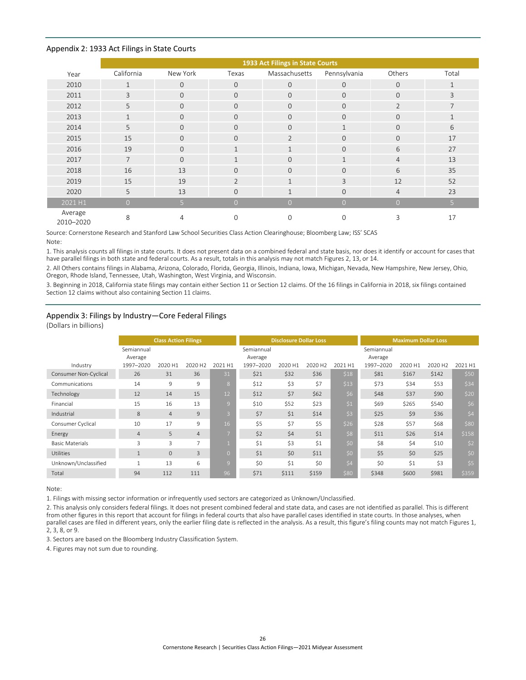#### <span id="page-28-2"></span><span id="page-28-0"></span>Appendix 2: 1933 Act Filings in State Courts

|                      | 1933 Act Filings in State Courts |                |                |                |              |                |                |  |  |  |  |  |
|----------------------|----------------------------------|----------------|----------------|----------------|--------------|----------------|----------------|--|--|--|--|--|
| Year                 | California                       | New York       | Texas          | Massachusetts  | Pennsylvania | Others         | Total          |  |  |  |  |  |
| 2010                 | $\mathbf{1}$                     | $\mathbf{0}$   | $\overline{0}$ | $\mathbf{0}$   | $\mathbf{0}$ | $\mathbf{0}$   | $\mathbf{1}$   |  |  |  |  |  |
| 2011                 | 3                                | $\mathbf{0}$   | $\Omega$       | $\mathbf{O}$   | $\Omega$     | $\Omega$       | 3              |  |  |  |  |  |
| 2012                 | 5                                | $\mathbf{0}$   | $\overline{0}$ | $\mathbf{O}$   | $\Omega$     | $\overline{2}$ | $\overline{7}$ |  |  |  |  |  |
| 2013                 | $\mathbf{1}$                     | $\mathbf{0}$   | $\overline{0}$ | $\mathbf{O}$   | $\mathbf{O}$ | $\Omega$       | $\mathbf{1}$   |  |  |  |  |  |
| 2014                 | 5                                | $\mathbf{0}$   | $\Omega$       | $\mathbf{0}$   | $\mathbf 1$  | $\mathbf{O}$   | 6              |  |  |  |  |  |
| 2015                 | 15                               | $\Omega$       | $\Omega$       | $\overline{2}$ | $\Omega$     | $\Omega$       | 17             |  |  |  |  |  |
| 2016                 | 19                               | $\mathbf{0}$   | $\mathbf{1}$   | $\mathbf{1}$   | $\Omega$     | 6              | 27             |  |  |  |  |  |
| 2017                 | $\overline{7}$                   | $\mathbf{0}$   |                | $\overline{0}$ | $\mathbf{1}$ | $\overline{4}$ | 13             |  |  |  |  |  |
| 2018                 | 16                               | 13             | $\Omega$       | $\mathbf{O}$   | $\Omega$     | 6              | 35             |  |  |  |  |  |
| 2019                 | 15                               | 19             | $\overline{2}$ | $\mathbf{1}$   | 3            | 12             | 52             |  |  |  |  |  |
| 2020                 | 5                                | 13             | $\Omega$       | $\mathbf{1}$   | $\Omega$     | $\overline{4}$ | 23             |  |  |  |  |  |
| 2021 H1              | $\overline{O}$                   | 5 <sup>1</sup> | $\Omega$       | $\overline{O}$ | $\Omega$     | $\Omega$       | 5 <sup>1</sup> |  |  |  |  |  |
| Average<br>2010-2020 | 8                                | 4              | $\Omega$       | 0              | $\Omega$     | 3              | 17             |  |  |  |  |  |

Source: Cornerstone Research and Stanford Law School Securities Class Action Clearinghouse; Bloomberg Law; ISS' SCAS Note:

1. This analysis counts all filings in state courts. It does not present data on a combined federal and state basis, nor does it identify or account for cases that have parallel filings in both state and federal courts. As a result, totals in this analysis may not match Figures 2, 13, or 14.

2. All Others contains filings in Alabama, Arizona, Colorado, Florida, Georgia, Illinois, Indiana, Iowa, Michigan, Nevada, New Hampshire, New Jersey, Ohio, Oregon, Rhode Island, Tennessee, Utah, Washington, West Virginia, and Wisconsin.

3. Beginning in 2018, California state filings may contain either Section 11 or Section 12 claims. Of the 16 filings in California in 2018, six filings contained Section 12 claims without also containing Section 11 claims.

#### <span id="page-28-1"></span>Appendix 3: Filings by Industry—Core Federal Filings

(Dollars in billions)

|                        |                       | <b>Class Action Filings</b> |                     |                | <b>Disclosure Dollar Loss</b> |         |                     |         | <b>Maximum Dollar Loss</b> |         |                     |         |
|------------------------|-----------------------|-----------------------------|---------------------|----------------|-------------------------------|---------|---------------------|---------|----------------------------|---------|---------------------|---------|
|                        | Semiannual<br>Average |                             |                     |                | Semiannual<br>Average         |         |                     |         | Semiannual<br>Average      |         |                     |         |
| Industry               | 1997-2020             | 2020 H1                     | 2020 H <sub>2</sub> | 2021 H1        | 1997-2020                     | 2020 H1 | 2020 H <sub>2</sub> | 2021 H1 | 1997-2020                  | 2020 H1 | 2020 H <sub>2</sub> | 2021 H1 |
| Consumer Non-Cyclical  | 26                    | 31                          | 36                  | 31             | \$21                          | \$32    | \$36                | \$18    | \$81                       | \$167   | \$142               | \$50    |
| Communications         | 14                    | 9                           | 9                   | 8              | \$12                          | \$3     | \$7                 | \$13    | \$73                       | \$34    | \$53                | \$34    |
| Technology             | 12                    | 14                          | 15                  | 12             | \$12                          | \$7     | \$62                | \$6     | \$48                       | \$37    | \$90                | \$20    |
| Financial              | 15                    | 16                          | 13                  | $\overline{9}$ | \$10                          | \$52    | \$23                | \$1     | \$69                       | \$265   | \$540               | \$6     |
| Industrial             | 8                     | $\overline{4}$              | 9                   | $\overline{3}$ | \$7                           | \$1     | \$14                | \$3     | \$25                       | \$9     | \$36                | \$4     |
| Consumer Cyclical      | 10                    | 17                          | 9                   | 16             | \$5                           | \$7     | \$5                 | \$26    | \$28                       | \$57    | \$68                | \$80    |
| Energy                 | $\overline{4}$        | 5                           | $\overline{4}$      | $\overline{7}$ | \$2                           | \$4     | \$1                 | \$8     | \$11                       | \$26    | \$14                | \$158   |
| <b>Basic Materials</b> | 3                     | 3                           | $\overline{7}$      |                | \$1                           | \$3     | \$1                 | \$0     | \$8                        | \$4     | \$10                | \$2     |
| <b>Utilities</b>       | <b>d</b>              | $\mathbf{0}$                | 3                   | $\Omega$       | \$1                           | \$0     | \$11                | \$0     | \$5                        | \$0     | \$25                | \$0     |
| Unknown/Unclassified   | $\mathbf{1}$          | 13                          | 6                   | 9              | \$0                           | \$1     | \$0                 | \$4     | \$0                        | \$1     | \$3                 | \$5     |
| Total                  | 94                    | 112                         | 111                 | 96             | \$71                          | \$111   | \$159               | \$80    | \$348                      | \$600   | \$981               | \$359   |

#### Note:

1. Filings with missing sector information or infrequently used sectors are categorized as Unknown/Unclassified.

2. This analysis only considers federal filings. It does not present combined federal and state data, and cases are not identified as parallel. This is different from other figures in this report that account for filings in federal courts that also have parallel cases identified in state courts. In those analyses, when parallel cases are filed in different years, only the earlier filing date is reflected in the analysis. As a result, this figure's filing counts may not match Figures 1, 2, 3, 8, or 9.

3. Sectors are based on the Bloomberg Industry Classification System.

4. Figures may not sum due to rounding.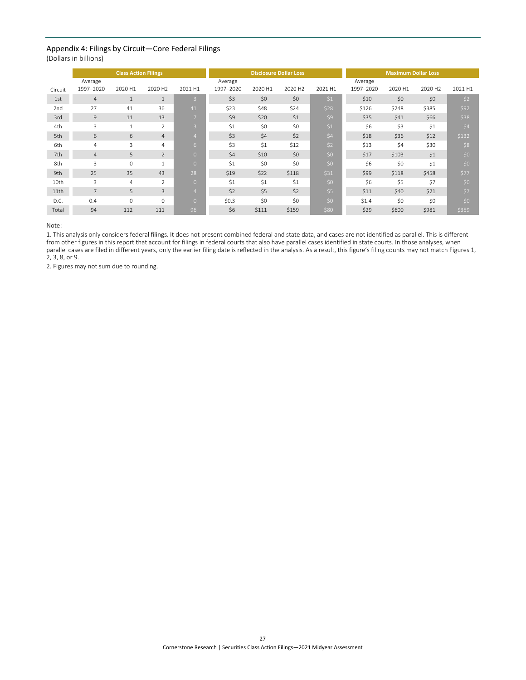### <span id="page-29-1"></span><span id="page-29-0"></span>Appendix 4: Filings by Circuit—Core Federal Filings

(Dollars in billions)

|         | <b>Class Action Filings</b> |                |                     |                |           |         | <b>Disclosure Dollar Loss</b> |         | <b>Maximum Dollar Loss</b> |         |                     |         |  |
|---------|-----------------------------|----------------|---------------------|----------------|-----------|---------|-------------------------------|---------|----------------------------|---------|---------------------|---------|--|
|         |                             |                |                     |                |           |         |                               |         |                            |         |                     |         |  |
|         | Average                     |                |                     |                | Average   |         |                               |         | Average                    |         |                     |         |  |
| Circuit | 1997-2020                   | 2020 H1        | 2020 H <sub>2</sub> | 2021 H1        | 1997-2020 | 2020 H1 | 2020 H <sub>2</sub>           | 2021 H1 | 1997-2020                  | 2020 H1 | 2020 H <sub>2</sub> | 2021 H1 |  |
| 1st     | $\overline{4}$              | $\mathbf{1}$   | $\mathbf{1}$        | $\overline{3}$ | \$3       | \$0     | \$0                           | \$1     | \$10                       | \$0     | \$0                 | \$2     |  |
| 2nd     | 27                          | 41             | 36                  | 41             | \$23      | \$48    | \$24                          | \$28    | \$126                      | \$248   | \$385               | \$92    |  |
| 3rd     | 9                           | 11             | 13                  | $\overline{ }$ | \$9       | \$20    | \$1                           | \$9     | \$35                       | \$41    | \$66                | \$38    |  |
| 4th     | 3                           | $\mathbf{1}$   | $\overline{2}$      | $\overline{3}$ | \$1       | \$0     | \$0                           | \$1     | \$6                        | \$3     | \$1                 | \$4     |  |
| 5th     | 6                           | 6              | $\overline{4}$      | 4              | \$3       | \$4     | \$2                           | \$4     | \$18                       | \$36    | \$12                | \$132   |  |
| 6th     | $\overline{4}$              | 3              | 4                   | 6              | \$3       | \$1     | \$12                          | \$2     | \$13                       | \$4     | \$30                | \$8     |  |
| 7th     | $\overline{4}$              | 5              | $\overline{2}$      | $\Omega$       | \$4       | \$10    | \$0                           | \$0     | \$17                       | \$103   | \$1                 | \$0     |  |
| 8th     | 3                           | $\mathbf 0$    | $\mathbf{1}$        | $\Omega$       | \$1       | \$0     | \$0                           | \$0     | \$6                        | \$0     | \$1                 | \$0     |  |
| 9th     | 25                          | 35             | 43                  | 28             | \$19      | \$22    | \$118                         | \$31    | \$99                       | \$118   | \$458               | \$77    |  |
| 10th    | 3                           | $\overline{4}$ | $\overline{2}$      | $\Omega$       | \$1       | \$1     | \$1                           | \$0     | \$6                        | \$5     | \$7                 | \$0     |  |
| 11th    | $\overline{7}$              | 5              | 3                   | 4              | \$2       | \$5     | \$2                           | \$5     | \$11                       | \$40    | \$21                | \$7     |  |
| D.C.    | 0.4                         | $\Omega$       | $\Omega$            | $\Omega$       | \$0.3     | \$0     | \$0                           | \$0     | \$1.4                      | \$0     | \$0                 | \$0     |  |
| Total   | 94                          | 112            | 111                 | 96             | \$6       | \$111   | \$159                         | \$80    | \$29                       | \$600   | \$981               | \$359   |  |

Note:

1. This analysis only considers federal filings. It does not present combined federal and state data, and cases are not identified as parallel. This is different from other figures in this report that account for filings in federal courts that also have parallel cases identified in state courts. In those analyses, when parallel cases are filed in different years, only the earlier filing date is reflected in the analysis. As a result, this figure's filing counts may not match Figures 1, 2, 3, 8, or 9.

2. Figures may not sum due to rounding.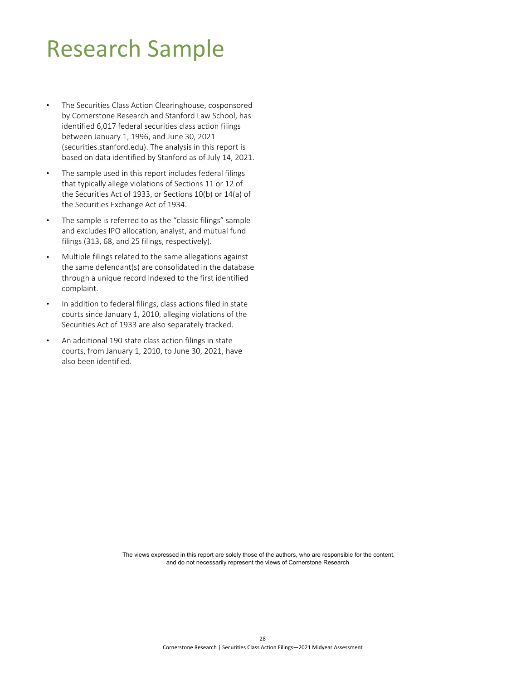### <span id="page-30-0"></span>Research Sample

- The Securities Class Action Clearinghouse, cosponsored by Cornerstone Research and Stanford Law School, has identified 6,017 federal securities class action filings between January 1, 1996, and June 30, 2021 (securities.stanford.edu). The analysis in this report is based on data identified by Stanford as of July 14, 2021.
- The sample used in this report includes federal filings that typically allege violations of Sections 11 or 12 of the Securities Act of 1933, or Sections 10(b) or 14(a) of the Securities Exchange Act of 1934.
- The sample is referred to as the "classic filings" sample and excludes IPO allocation, analyst, and mutual fund filings (313, 68, and 25 filings, respectively).
- Multiple filings related to the same allegations against the same defendant(s) are consolidated in the database through a unique record indexed to the first identified complaint.
- In addition to federal filings, class actions filed in state courts since January 1, 2010, alleging violations of the Securities Act of 1933 are also separately tracked.
- An additional 190 state class action filings in state courts, from January 1, 2010, to June 30, 2021, have also been identified.

The views expressed in this report are solely those of the authors, who are responsible for the content, and do not necessarily represent the views of Cornerstone Research.